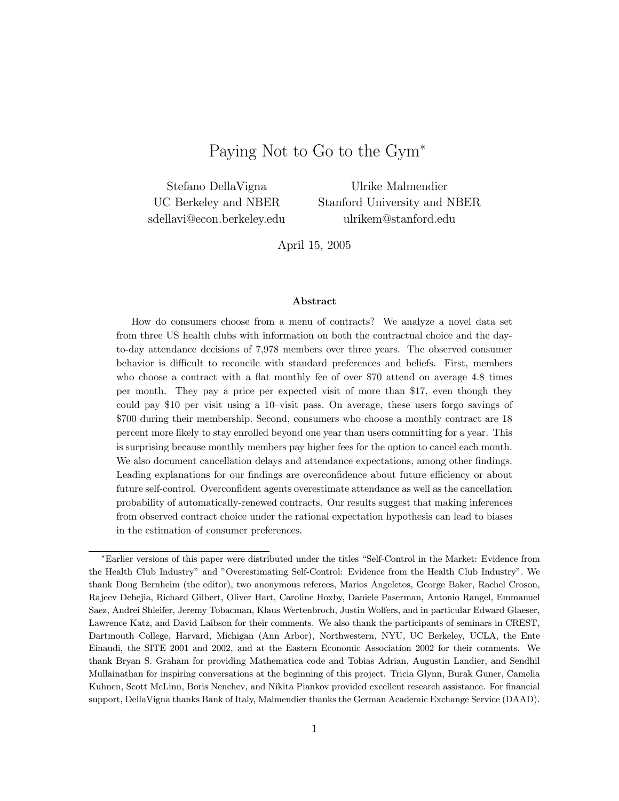# Paying Not to Go to the Gym<sup>∗</sup>

Stefano DellaVigna UC Berkeley and NBER sdellavi@econ.berkeley.edu

Ulrike Malmendier Stanford University and NBER ulrikem@stanford.edu

April 15, 2005

#### Abstract

How do consumers choose from a menu of contracts? We analyze a novel data set from three US health clubs with information on both the contractual choice and the dayto-day attendance decisions of 7,978 members over three years. The observed consumer behavior is difficult to reconcile with standard preferences and beliefs. First, members who choose a contract with a flat monthly fee of over \$70 attend on average 4.8 times per month. They pay a price per expected visit of more than \$17, even though they could pay \$10 per visit using a 10—visit pass. On average, these users forgo savings of \$700 during their membership. Second, consumers who choose a monthly contract are 18 percent more likely to stay enrolled beyond one year than users committing for a year. This is surprising because monthly members pay higher fees for the option to cancel each month. We also document cancellation delays and attendance expectations, among other findings. Leading explanations for our findings are overconfidence about future efficiency or about future self-control. Overconfident agents overestimate attendance as well as the cancellation probability of automatically-renewed contracts. Our results suggest that making inferences from observed contract choice under the rational expectation hypothesis can lead to biases in the estimation of consumer preferences.

<sup>∗</sup>Earlier versions of this paper were distributed under the titles "Self-Control in the Market: Evidence from the Health Club Industry" and "Overestimating Self-Control: Evidence from the Health Club Industry". We thank Doug Bernheim (the editor), two anonymous referees, Marios Angeletos, George Baker, Rachel Croson, Rajeev Dehejia, Richard Gilbert, Oliver Hart, Caroline Hoxby, Daniele Paserman, Antonio Rangel, Emmanuel Saez, Andrei Shleifer, Jeremy Tobacman, Klaus Wertenbroch, Justin Wolfers, and in particular Edward Glaeser, Lawrence Katz, and David Laibson for their comments. We also thank the participants of seminars in CREST, Dartmouth College, Harvard, Michigan (Ann Arbor), Northwestern, NYU, UC Berkeley, UCLA, the Ente Einaudi, the SITE 2001 and 2002, and at the Eastern Economic Association 2002 for their comments. We thank Bryan S. Graham for providing Mathematica code and Tobias Adrian, Augustin Landier, and Sendhil Mullainathan for inspiring conversations at the beginning of this project. Tricia Glynn, Burak Guner, Camelia Kuhnen, Scott McLinn, Boris Nenchev, and Nikita Piankov provided excellent research assistance. For financial support, DellaVigna thanks Bank of Italy, Malmendier thanks the German Academic Exchange Service (DAAD).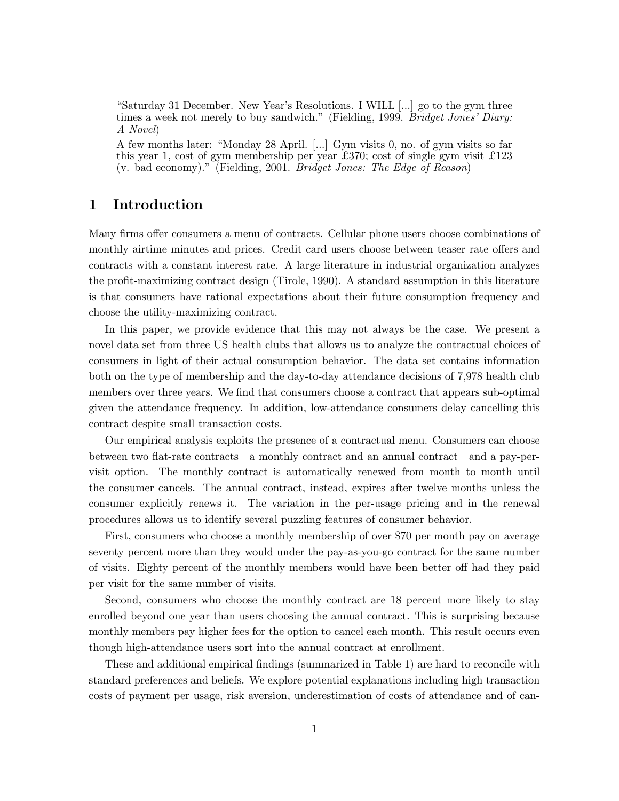"Saturday 31 December. New Year's Resolutions. I WILL [...] go to the gym three times a week not merely to buy sandwich." (Fielding, 1999. Bridget Jones' Diary: A Novel)

A few months later: "Monday 28 April. [...] Gym visits 0, no. of gym visits so far this year 1, cost of gym membership per year  $\pounds 370$ ; cost of single gym visit  $\pounds 123$ (v. bad economy)." (Fielding, 2001. Bridget Jones: The Edge of Reason)

## 1 Introduction

Many firms offer consumers a menu of contracts. Cellular phone users choose combinations of monthly airtime minutes and prices. Credit card users choose between teaser rate offers and contracts with a constant interest rate. A large literature in industrial organization analyzes the profit-maximizing contract design (Tirole, 1990). A standard assumption in this literature is that consumers have rational expectations about their future consumption frequency and choose the utility-maximizing contract.

In this paper, we provide evidence that this may not always be the case. We present a novel data set from three US health clubs that allows us to analyze the contractual choices of consumers in light of their actual consumption behavior. The data set contains information both on the type of membership and the day-to-day attendance decisions of 7,978 health club members over three years. We find that consumers choose a contract that appears sub-optimal given the attendance frequency. In addition, low-attendance consumers delay cancelling this contract despite small transaction costs.

Our empirical analysis exploits the presence of a contractual menu. Consumers can choose between two flat-rate contracts–a monthly contract and an annual contract–and a pay-pervisit option. The monthly contract is automatically renewed from month to month until the consumer cancels. The annual contract, instead, expires after twelve months unless the consumer explicitly renews it. The variation in the per-usage pricing and in the renewal procedures allows us to identify several puzzling features of consumer behavior.

First, consumers who choose a monthly membership of over \$70 per month pay on average seventy percent more than they would under the pay-as-you-go contract for the same number of visits. Eighty percent of the monthly members would have been better off had they paid per visit for the same number of visits.

Second, consumers who choose the monthly contract are 18 percent more likely to stay enrolled beyond one year than users choosing the annual contract. This is surprising because monthly members pay higher fees for the option to cancel each month. This result occurs even though high-attendance users sort into the annual contract at enrollment.

These and additional empirical findings (summarized in Table 1) are hard to reconcile with standard preferences and beliefs. We explore potential explanations including high transaction costs of payment per usage, risk aversion, underestimation of costs of attendance and of can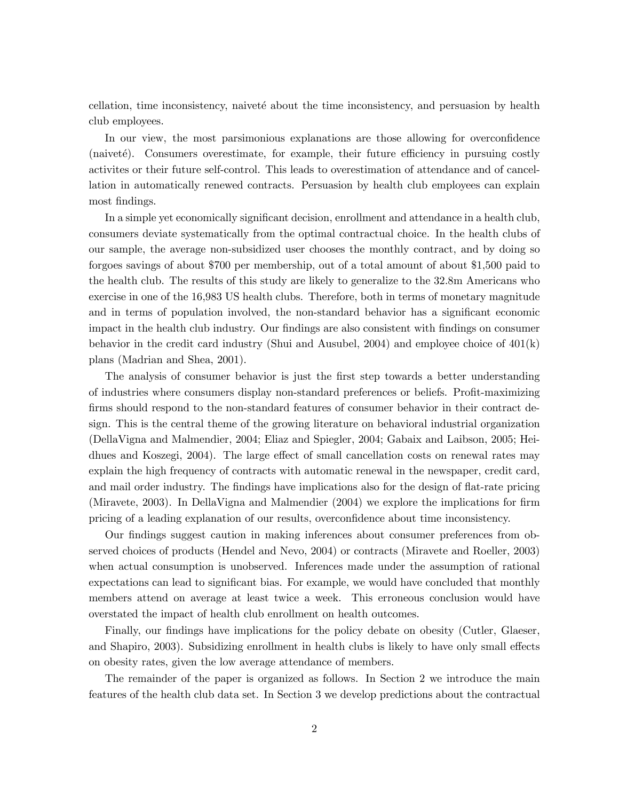cellation, time inconsistency, naiveté about the time inconsistency, and persuasion by health club employees.

In our view, the most parsimonious explanations are those allowing for overconfidence  $(naiveté)$ . Consumers overestimate, for example, their future efficiency in pursuing costly activites or their future self-control. This leads to overestimation of attendance and of cancellation in automatically renewed contracts. Persuasion by health club employees can explain most findings.

In a simple yet economically significant decision, enrollment and attendance in a health club, consumers deviate systematically from the optimal contractual choice. In the health clubs of our sample, the average non-subsidized user chooses the monthly contract, and by doing so forgoes savings of about \$700 per membership, out of a total amount of about \$1,500 paid to the health club. The results of this study are likely to generalize to the 32.8m Americans who exercise in one of the 16,983 US health clubs. Therefore, both in terms of monetary magnitude and in terms of population involved, the non-standard behavior has a significant economic impact in the health club industry. Our findings are also consistent with findings on consumer behavior in the credit card industry (Shui and Ausubel, 2004) and employee choice of 401(k) plans (Madrian and Shea, 2001).

The analysis of consumer behavior is just the first step towards a better understanding of industries where consumers display non-standard preferences or beliefs. Profit-maximizing firms should respond to the non-standard features of consumer behavior in their contract design. This is the central theme of the growing literature on behavioral industrial organization (DellaVigna and Malmendier, 2004; Eliaz and Spiegler, 2004; Gabaix and Laibson, 2005; Heidhues and Koszegi, 2004). The large effect of small cancellation costs on renewal rates may explain the high frequency of contracts with automatic renewal in the newspaper, credit card, and mail order industry. The findings have implications also for the design of flat-rate pricing (Miravete, 2003). In DellaVigna and Malmendier (2004) we explore the implications for firm pricing of a leading explanation of our results, overconfidence about time inconsistency.

Our findings suggest caution in making inferences about consumer preferences from observed choices of products (Hendel and Nevo, 2004) or contracts (Miravete and Roeller, 2003) when actual consumption is unobserved. Inferences made under the assumption of rational expectations can lead to significant bias. For example, we would have concluded that monthly members attend on average at least twice a week. This erroneous conclusion would have overstated the impact of health club enrollment on health outcomes.

Finally, our findings have implications for the policy debate on obesity (Cutler, Glaeser, and Shapiro, 2003). Subsidizing enrollment in health clubs is likely to have only small effects on obesity rates, given the low average attendance of members.

The remainder of the paper is organized as follows. In Section 2 we introduce the main features of the health club data set. In Section 3 we develop predictions about the contractual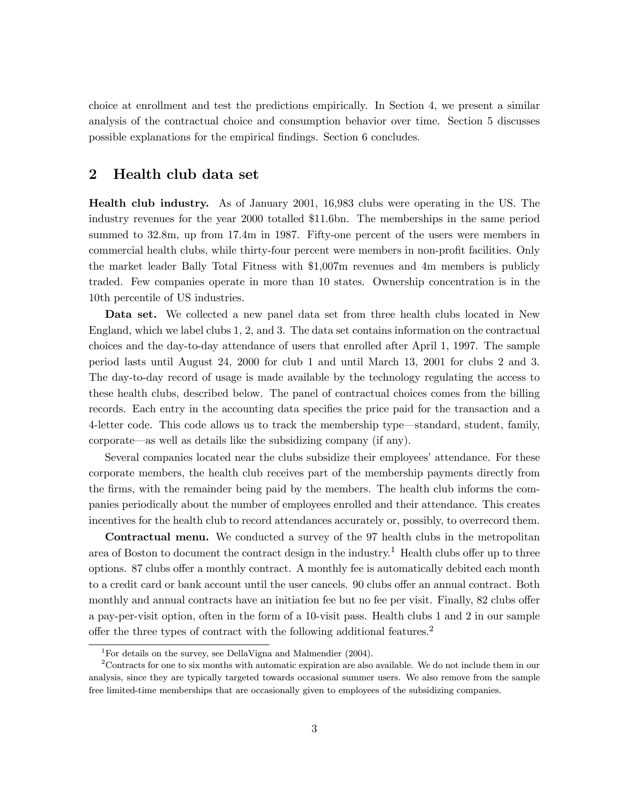choice at enrollment and test the predictions empirically. In Section 4, we present a similar analysis of the contractual choice and consumption behavior over time. Section 5 discusses possible explanations for the empirical findings. Section 6 concludes.

## 2 Health club data set

Health club industry. As of January 2001, 16,983 clubs were operating in the US. The industry revenues for the year 2000 totalled \$11.6bn. The memberships in the same period summed to 32.8m, up from 17.4m in 1987. Fifty-one percent of the users were members in commercial health clubs, while thirty-four percent were members in non-profit facilities. Only the market leader Bally Total Fitness with \$1,007m revenues and 4m members is publicly traded. Few companies operate in more than 10 states. Ownership concentration is in the 10th percentile of US industries.

Data set. We collected a new panel data set from three health clubs located in New England, which we label clubs 1, 2, and 3. The data set contains information on the contractual choices and the day-to-day attendance of users that enrolled after April 1, 1997. The sample period lasts until August 24, 2000 for club 1 and until March 13, 2001 for clubs 2 and 3. The day-to-day record of usage is made available by the technology regulating the access to these health clubs, described below. The panel of contractual choices comes from the billing records. Each entry in the accounting data specifies the price paid for the transaction and a 4-letter code. This code allows us to track the membership type–standard, student, family, corporate–as well as details like the subsidizing company (if any).

Several companies located near the clubs subsidize their employees' attendance. For these corporate members, the health club receives part of the membership payments directly from the firms, with the remainder being paid by the members. The health club informs the companies periodically about the number of employees enrolled and their attendance. This creates incentives for the health club to record attendances accurately or, possibly, to overrecord them.

Contractual menu. We conducted a survey of the 97 health clubs in the metropolitan area of Boston to document the contract design in the industry.<sup>1</sup> Health clubs offer up to three options. 87 clubs offer a monthly contract. A monthly fee is automatically debited each month to a credit card or bank account until the user cancels. 90 clubs offer an annual contract. Both monthly and annual contracts have an initiation fee but no fee per visit. Finally, 82 clubs offer a pay-per-visit option, often in the form of a 10-visit pass. Health clubs 1 and 2 in our sample offer the three types of contract with the following additional features.<sup>2</sup>

<sup>&</sup>lt;sup>1</sup>For details on the survey, see DellaVigna and Malmendier  $(2004)$ .

<sup>2</sup>Contracts for one to six months with automatic expiration are also available. We do not include them in our analysis, since they are typically targeted towards occasional summer users. We also remove from the sample free limited-time memberships that are occasionally given to employees of the subsidizing companies.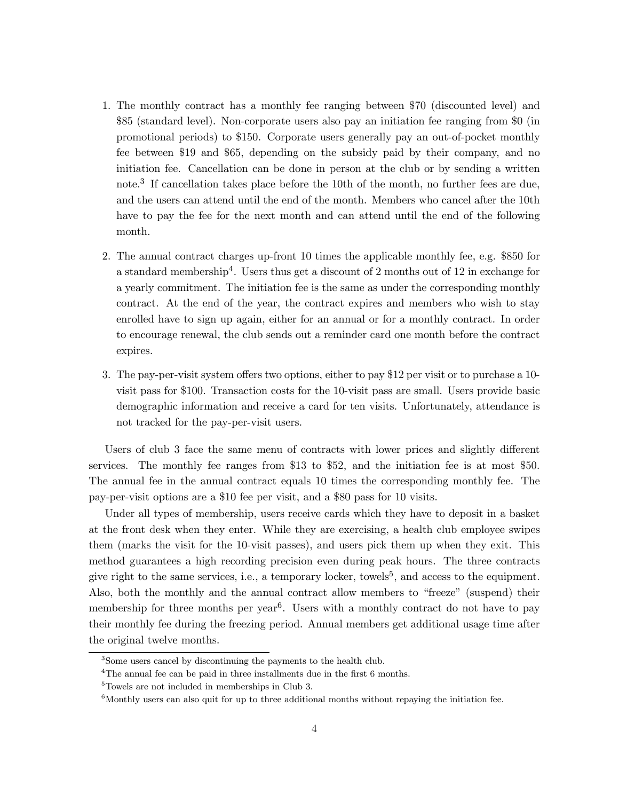- 1. The monthly contract has a monthly fee ranging between \$70 (discounted level) and \$85 (standard level). Non-corporate users also pay an initiation fee ranging from \$0 (in promotional periods) to \$150. Corporate users generally pay an out-of-pocket monthly fee between \$19 and \$65, depending on the subsidy paid by their company, and no initiation fee. Cancellation can be done in person at the club or by sending a written note.<sup>3</sup> If cancellation takes place before the 10th of the month, no further fees are due, and the users can attend until the end of the month. Members who cancel after the 10th have to pay the fee for the next month and can attend until the end of the following month.
- 2. The annual contract charges up-front 10 times the applicable monthly fee, e.g. \$850 for a standard membership<sup>4</sup>. Users thus get a discount of 2 months out of 12 in exchange for a yearly commitment. The initiation fee is the same as under the corresponding monthly contract. At the end of the year, the contract expires and members who wish to stay enrolled have to sign up again, either for an annual or for a monthly contract. In order to encourage renewal, the club sends out a reminder card one month before the contract expires.
- 3. The pay-per-visit system offers two options, either to pay \$12 per visit or to purchase a 10 visit pass for \$100. Transaction costs for the 10-visit pass are small. Users provide basic demographic information and receive a card for ten visits. Unfortunately, attendance is not tracked for the pay-per-visit users.

Users of club 3 face the same menu of contracts with lower prices and slightly different services. The monthly fee ranges from \$13 to \$52, and the initiation fee is at most \$50. The annual fee in the annual contract equals 10 times the corresponding monthly fee. The pay-per-visit options are a \$10 fee per visit, and a \$80 pass for 10 visits.

Under all types of membership, users receive cards which they have to deposit in a basket at the front desk when they enter. While they are exercising, a health club employee swipes them (marks the visit for the 10-visit passes), and users pick them up when they exit. This method guarantees a high recording precision even during peak hours. The three contracts give right to the same services, i.e., a temporary locker, towels<sup>5</sup>, and access to the equipment. Also, both the monthly and the annual contract allow members to "freeze" (suspend) their membership for three months per year<sup>6</sup>. Users with a monthly contract do not have to pay their monthly fee during the freezing period. Annual members get additional usage time after the original twelve months.

<sup>3</sup>Some users cancel by discontinuing the payments to the health club.

<sup>&</sup>lt;sup>4</sup>The annual fee can be paid in three installments due in the first 6 months.

<sup>5</sup>Towels are not included in memberships in Club 3.

 $6$ Monthly users can also quit for up to three additional months without repaying the initiation fee.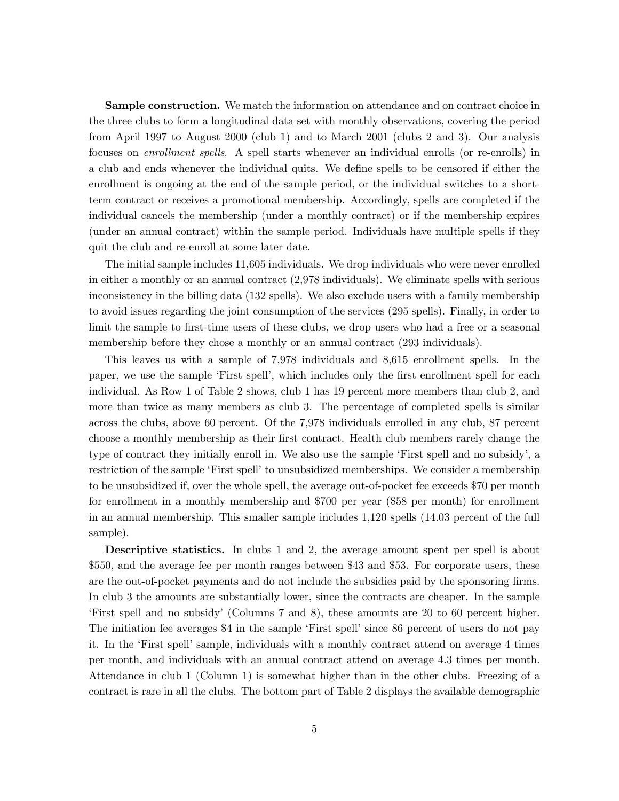**Sample construction.** We match the information on attendance and on contract choice in the three clubs to form a longitudinal data set with monthly observations, covering the period from April 1997 to August 2000 (club 1) and to March 2001 (clubs 2 and 3). Our analysis focuses on *enrollment spells*. A spell starts whenever an individual enrolls (or re-enrolls) in a club and ends whenever the individual quits. We define spells to be censored if either the enrollment is ongoing at the end of the sample period, or the individual switches to a shortterm contract or receives a promotional membership. Accordingly, spells are completed if the individual cancels the membership (under a monthly contract) or if the membership expires (under an annual contract) within the sample period. Individuals have multiple spells if they quit the club and re-enroll at some later date.

The initial sample includes 11,605 individuals. We drop individuals who were never enrolled in either a monthly or an annual contract (2,978 individuals). We eliminate spells with serious inconsistency in the billing data (132 spells). We also exclude users with a family membership to avoid issues regarding the joint consumption of the services (295 spells). Finally, in order to limit the sample to first-time users of these clubs, we drop users who had a free or a seasonal membership before they chose a monthly or an annual contract (293 individuals).

This leaves us with a sample of 7,978 individuals and 8,615 enrollment spells. In the paper, we use the sample 'First spell', which includes only the first enrollment spell for each individual. As Row 1 of Table 2 shows, club 1 has 19 percent more members than club 2, and more than twice as many members as club 3. The percentage of completed spells is similar across the clubs, above 60 percent. Of the 7,978 individuals enrolled in any club, 87 percent choose a monthly membership as their first contract. Health club members rarely change the type of contract they initially enroll in. We also use the sample 'First spell and no subsidy', a restriction of the sample 'First spell' to unsubsidized memberships. We consider a membership to be unsubsidized if, over the whole spell, the average out-of-pocket fee exceeds \$70 per month for enrollment in a monthly membership and \$700 per year (\$58 per month) for enrollment in an annual membership. This smaller sample includes 1,120 spells (14.03 percent of the full sample).

**Descriptive statistics.** In clubs 1 and 2, the average amount spent per spell is about \$550, and the average fee per month ranges between \$43 and \$53. For corporate users, these are the out-of-pocket payments and do not include the subsidies paid by the sponsoring firms. In club 3 the amounts are substantially lower, since the contracts are cheaper. In the sample 'First spell and no subsidy' (Columns 7 and 8), these amounts are 20 to 60 percent higher. The initiation fee averages \$4 in the sample 'First spell' since 86 percent of users do not pay it. In the 'First spell' sample, individuals with a monthly contract attend on average 4 times per month, and individuals with an annual contract attend on average 4.3 times per month. Attendance in club 1 (Column 1) is somewhat higher than in the other clubs. Freezing of a contract is rare in all the clubs. The bottom part of Table 2 displays the available demographic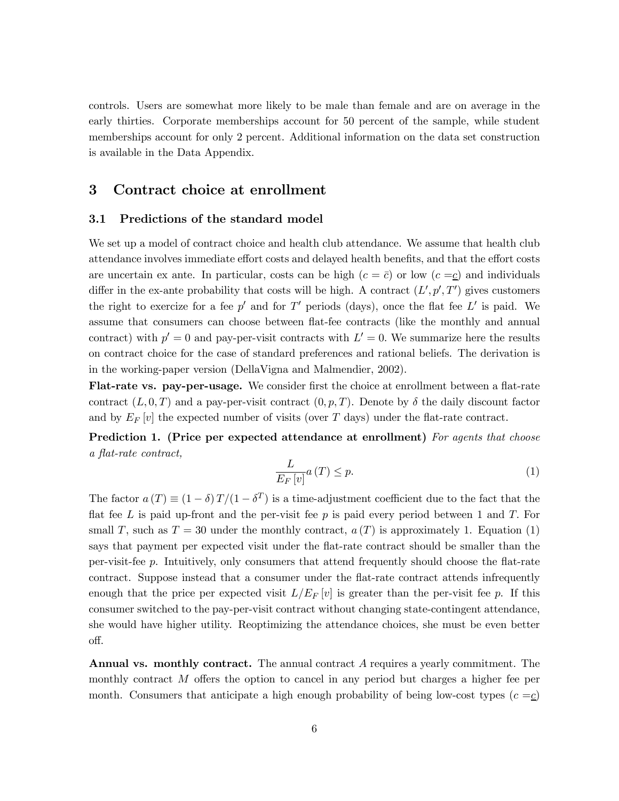controls. Users are somewhat more likely to be male than female and are on average in the early thirties. Corporate memberships account for 50 percent of the sample, while student memberships account for only 2 percent. Additional information on the data set construction is available in the Data Appendix.

## 3 Contract choice at enrollment

### 3.1 Predictions of the standard model

We set up a model of contract choice and health club attendance. We assume that health club attendance involves immediate effort costs and delayed health benefits, and that the effort costs are uncertain ex ante. In particular, costs can be high  $(c = \bar{c})$  or low  $(c = \underline{c})$  and individuals differ in the ex-ante probability that costs will be high. A contract  $(L', p', T')$  gives customers the right to exercize for a fee p' and for T' periods (days), once the flat fee L' is paid. We assume that consumers can choose between flat-fee contracts (like the monthly and annual contract) with  $p' = 0$  and pay-per-visit contracts with  $L' = 0$ . We summarize here the results on contract choice for the case of standard preferences and rational beliefs. The derivation is in the working-paper version (DellaVigna and Malmendier, 2002).

Flat-rate vs. pay-per-usage. We consider first the choice at enrollment between a flat-rate contract  $(L, 0, T)$  and a pay-per-visit contract  $(0, p, T)$ . Denote by  $\delta$  the daily discount factor and by  $E_F[v]$  the expected number of visits (over T days) under the flat-rate contract.

Prediction 1. (Price per expected attendance at enrollment) For agents that choose a flat-rate contract,

$$
\frac{L}{E_F\left[v\right]}a\left(T\right) \le p.\tag{1}
$$

The factor  $a(T) \equiv (1 - \delta) T/(1 - \delta^T)$  is a time-adjustment coefficient due to the fact that the flat fee L is paid up-front and the per-visit fee p is paid every period between 1 and T. For small T, such as  $T = 30$  under the monthly contract,  $a(T)$  is approximately 1. Equation (1) says that payment per expected visit under the flat-rate contract should be smaller than the per-visit-fee p. Intuitively, only consumers that attend frequently should choose the flat-rate contract. Suppose instead that a consumer under the flat-rate contract attends infrequently enough that the price per expected visit  $L/E_F[v]$  is greater than the per-visit fee p. If this consumer switched to the pay-per-visit contract without changing state-contingent attendance, she would have higher utility. Reoptimizing the attendance choices, she must be even better off.

Annual vs. monthly contract. The annual contract A requires a yearly commitment. The monthly contract M offers the option to cancel in any period but charges a higher fee per month. Consumers that anticipate a high enough probability of being low-cost types  $(c = c)$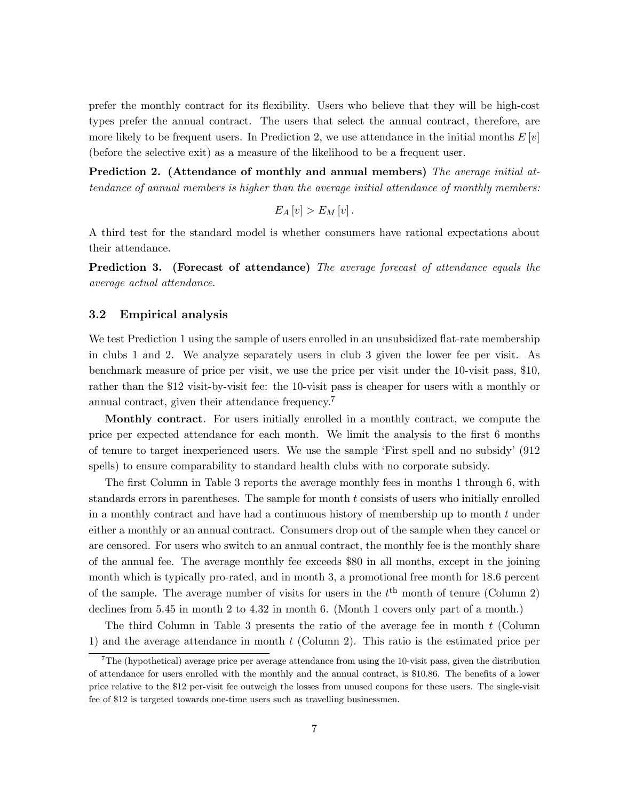prefer the monthly contract for its flexibility. Users who believe that they will be high-cost types prefer the annual contract. The users that select the annual contract, therefore, are more likely to be frequent users. In Prediction 2, we use attendance in the initial months  $E[v]$ (before the selective exit) as a measure of the likelihood to be a frequent user.

Prediction 2. (Attendance of monthly and annual members) The average initial attendance of annual members is higher than the average initial attendance of monthly members:

$$
E_A[v] > E_M[v].
$$

A third test for the standard model is whether consumers have rational expectations about their attendance.

Prediction 3. (Forecast of attendance) The average forecast of attendance equals the average actual attendance.

#### 3.2 Empirical analysis

We test Prediction 1 using the sample of users enrolled in an unsubsidized flat-rate membership in clubs 1 and 2. We analyze separately users in club 3 given the lower fee per visit. As benchmark measure of price per visit, we use the price per visit under the 10-visit pass, \$10, rather than the \$12 visit-by-visit fee: the 10-visit pass is cheaper for users with a monthly or annual contract, given their attendance frequency.<sup>7</sup>

Monthly contract. For users initially enrolled in a monthly contract, we compute the price per expected attendance for each month. We limit the analysis to the first 6 months of tenure to target inexperienced users. We use the sample 'First spell and no subsidy' (912 spells) to ensure comparability to standard health clubs with no corporate subsidy.

The first Column in Table 3 reports the average monthly fees in months 1 through 6, with standards errors in parentheses. The sample for month t consists of users who initially enrolled in a monthly contract and have had a continuous history of membership up to month t under either a monthly or an annual contract. Consumers drop out of the sample when they cancel or are censored. For users who switch to an annual contract, the monthly fee is the monthly share of the annual fee. The average monthly fee exceeds \$80 in all months, except in the joining month which is typically pro-rated, and in month 3, a promotional free month for 18.6 percent of the sample. The average number of visits for users in the  $t<sup>th</sup>$  month of tenure (Column 2) declines from 5.45 in month 2 to 4.32 in month 6. (Month 1 covers only part of a month.)

The third Column in Table 3 presents the ratio of the average fee in month t (Column 1) and the average attendance in month  $t$  (Column 2). This ratio is the estimated price per

 $7$ The (hypothetical) average price per average attendance from using the 10-visit pass, given the distribution of attendance for users enrolled with the monthly and the annual contract, is \$10.86. The benefits of a lower price relative to the \$12 per-visit fee outweigh the losses from unused coupons for these users. The single-visit fee of \$12 is targeted towards one-time users such as travelling businessmen.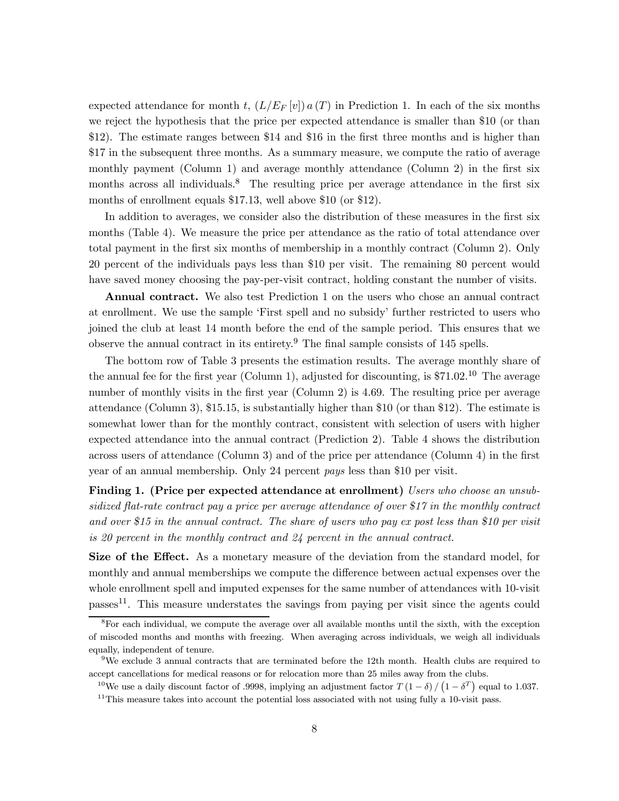expected attendance for month t,  $(L/E_F[v]) a(T)$  in Prediction 1. In each of the six months we reject the hypothesis that the price per expected attendance is smaller than \$10 (or than \$12). The estimate ranges between \$14 and \$16 in the first three months and is higher than \$17 in the subsequent three months. As a summary measure, we compute the ratio of average monthly payment (Column 1) and average monthly attendance (Column 2) in the first six months across all individuals.<sup>8</sup> The resulting price per average attendance in the first six months of enrollment equals \$17.13, well above \$10 (or \$12).

In addition to averages, we consider also the distribution of these measures in the first six months (Table 4). We measure the price per attendance as the ratio of total attendance over total payment in the first six months of membership in a monthly contract (Column 2). Only 20 percent of the individuals pays less than \$10 per visit. The remaining 80 percent would have saved money choosing the pay-per-visit contract, holding constant the number of visits.

Annual contract. We also test Prediction 1 on the users who chose an annual contract at enrollment. We use the sample 'First spell and no subsidy' further restricted to users who joined the club at least 14 month before the end of the sample period. This ensures that we observe the annual contract in its entirety.<sup>9</sup> The final sample consists of 145 spells.

The bottom row of Table 3 presents the estimation results. The average monthly share of the annual fee for the first year (Column 1), adjusted for discounting, is  $$71.02<sup>10</sup>$  The average number of monthly visits in the first year (Column 2) is 4.69. The resulting price per average attendance (Column 3), \$15.15, is substantially higher than \$10 (or than \$12). The estimate is somewhat lower than for the monthly contract, consistent with selection of users with higher expected attendance into the annual contract (Prediction 2). Table 4 shows the distribution across users of attendance (Column 3) and of the price per attendance (Column 4) in the first year of an annual membership. Only 24 percent pays less than \$10 per visit.

Finding 1. (Price per expected attendance at enrollment) Users who choose an unsubsidized flat-rate contract pay a price per average attendance of over \$17 in the monthly contract and over \$15 in the annual contract. The share of users who pay ex post less than \$10 per visit is 20 percent in the monthly contract and 24 percent in the annual contract.

Size of the Effect. As a monetary measure of the deviation from the standard model, for monthly and annual memberships we compute the difference between actual expenses over the whole enrollment spell and imputed expenses for the same number of attendances with 10-visit passes<sup>11</sup>. This measure understates the savings from paying per visit since the agents could

 ${}^{8}$ For each individual, we compute the average over all available months until the sixth, with the exception of miscoded months and months with freezing. When averaging across individuals, we weigh all individuals equally, independent of tenure.

<sup>9</sup>We exclude 3 annual contracts that are terminated before the 12th month. Health clubs are required to accept cancellations for medical reasons or for relocation more than 25 miles away from the clubs.

<sup>&</sup>lt;sup>10</sup>We use a daily discount factor of .9998, implying an adjustment factor  $T(1-\delta)/(1-\delta^T)$  equal to 1.037.  $11$ This measure takes into account the potential loss associated with not using fully a 10-visit pass.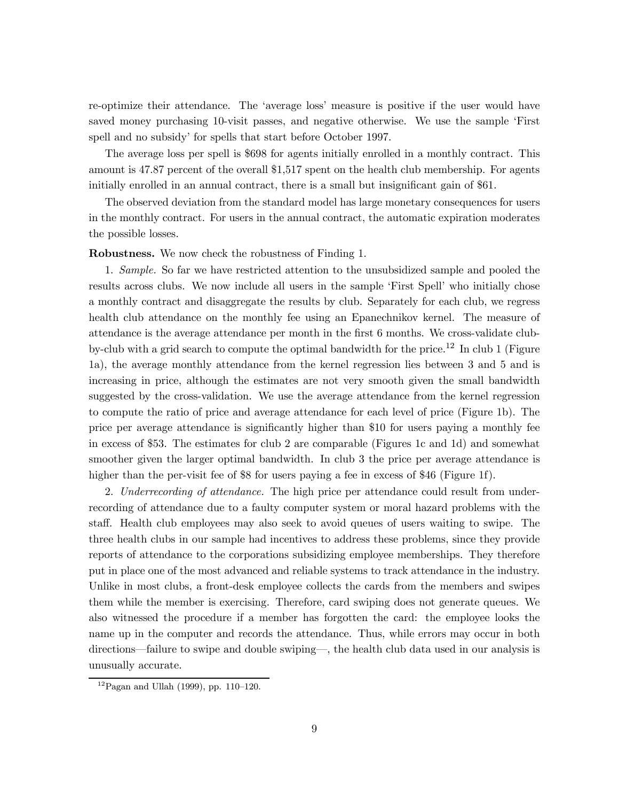re-optimize their attendance. The 'average loss' measure is positive if the user would have saved money purchasing 10-visit passes, and negative otherwise. We use the sample 'First spell and no subsidy' for spells that start before October 1997.

The average loss per spell is \$698 for agents initially enrolled in a monthly contract. This amount is 47.87 percent of the overall \$1,517 spent on the health club membership. For agents initially enrolled in an annual contract, there is a small but insignificant gain of \$61.

The observed deviation from the standard model has large monetary consequences for users in the monthly contract. For users in the annual contract, the automatic expiration moderates the possible losses.

Robustness. We now check the robustness of Finding 1.

1. Sample. So far we have restricted attention to the unsubsidized sample and pooled the results across clubs. We now include all users in the sample 'First Spell' who initially chose a monthly contract and disaggregate the results by club. Separately for each club, we regress health club attendance on the monthly fee using an Epanechnikov kernel. The measure of attendance is the average attendance per month in the first 6 months. We cross-validate clubby-club with a grid search to compute the optimal bandwidth for the price.<sup>12</sup> In club 1 (Figure 1a), the average monthly attendance from the kernel regression lies between 3 and 5 and is increasing in price, although the estimates are not very smooth given the small bandwidth suggested by the cross-validation. We use the average attendance from the kernel regression to compute the ratio of price and average attendance for each level of price (Figure 1b). The price per average attendance is significantly higher than \$10 for users paying a monthly fee in excess of \$53. The estimates for club 2 are comparable (Figures 1c and 1d) and somewhat smoother given the larger optimal bandwidth. In club 3 the price per average attendance is higher than the per-visit fee of \$8 for users paying a fee in excess of \$46 (Figure 1f).

2. Underrecording of attendance. The high price per attendance could result from underrecording of attendance due to a faulty computer system or moral hazard problems with the staff. Health club employees may also seek to avoid queues of users waiting to swipe. The three health clubs in our sample had incentives to address these problems, since they provide reports of attendance to the corporations subsidizing employee memberships. They therefore put in place one of the most advanced and reliable systems to track attendance in the industry. Unlike in most clubs, a front-desk employee collects the cards from the members and swipes them while the member is exercising. Therefore, card swiping does not generate queues. We also witnessed the procedure if a member has forgotten the card: the employee looks the name up in the computer and records the attendance. Thus, while errors may occur in both directions–failure to swipe and double swiping–, the health club data used in our analysis is unusually accurate.

 $12P$ agan and Ullah (1999), pp. 110–120.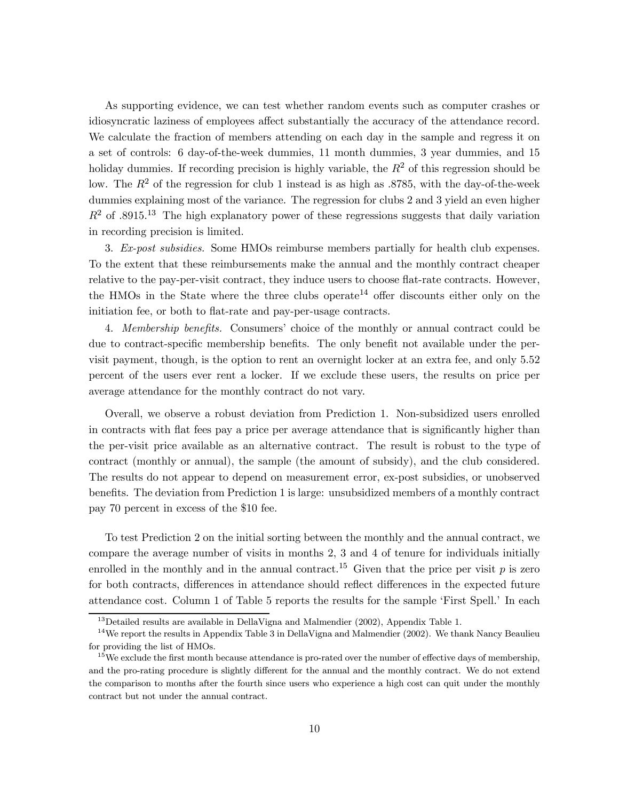As supporting evidence, we can test whether random events such as computer crashes or idiosyncratic laziness of employees affect substantially the accuracy of the attendance record. We calculate the fraction of members attending on each day in the sample and regress it on a set of controls: 6 day-of-the-week dummies, 11 month dummies, 3 year dummies, and 15 holiday dummies. If recording precision is highly variable, the  $R<sup>2</sup>$  of this regression should be low. The  $R^2$  of the regression for club 1 instead is as high as .8785, with the day-of-the-week dummies explaining most of the variance. The regression for clubs 2 and 3 yield an even higher  $R^2$  of .8915.<sup>13</sup> The high explanatory power of these regressions suggests that daily variation in recording precision is limited.

3. Ex-post subsidies. Some HMOs reimburse members partially for health club expenses. To the extent that these reimbursements make the annual and the monthly contract cheaper relative to the pay-per-visit contract, they induce users to choose flat-rate contracts. However, the HMOs in the State where the three clubs operate<sup>14</sup> offer discounts either only on the initiation fee, or both to flat-rate and pay-per-usage contracts.

4. Membership benefits. Consumers' choice of the monthly or annual contract could be due to contract-specific membership benefits. The only benefit not available under the pervisit payment, though, is the option to rent an overnight locker at an extra fee, and only 5.52 percent of the users ever rent a locker. If we exclude these users, the results on price per average attendance for the monthly contract do not vary.

Overall, we observe a robust deviation from Prediction 1. Non-subsidized users enrolled in contracts with flat fees pay a price per average attendance that is significantly higher than the per-visit price available as an alternative contract. The result is robust to the type of contract (monthly or annual), the sample (the amount of subsidy), and the club considered. The results do not appear to depend on measurement error, ex-post subsidies, or unobserved benefits. The deviation from Prediction 1 is large: unsubsidized members of a monthly contract pay 70 percent in excess of the \$10 fee.

To test Prediction 2 on the initial sorting between the monthly and the annual contract, we compare the average number of visits in months 2, 3 and 4 of tenure for individuals initially enrolled in the monthly and in the annual contract.<sup>15</sup> Given that the price per visit p is zero for both contracts, differences in attendance should reflect differences in the expected future attendance cost. Column 1 of Table 5 reports the results for the sample 'First Spell.' In each

 $13$ Detailed results are available in DellaVigna and Malmendier (2002), Appendix Table 1.

 $14$ We report the results in Appendix Table 3 in DellaVigna and Malmendier (2002). We thank Nancy Beaulieu for providing the list of HMOs.

<sup>&</sup>lt;sup>15</sup>We exclude the first month because attendance is pro-rated over the number of effective days of membership, and the pro-rating procedure is slightly different for the annual and the monthly contract. We do not extend the comparison to months after the fourth since users who experience a high cost can quit under the monthly contract but not under the annual contract.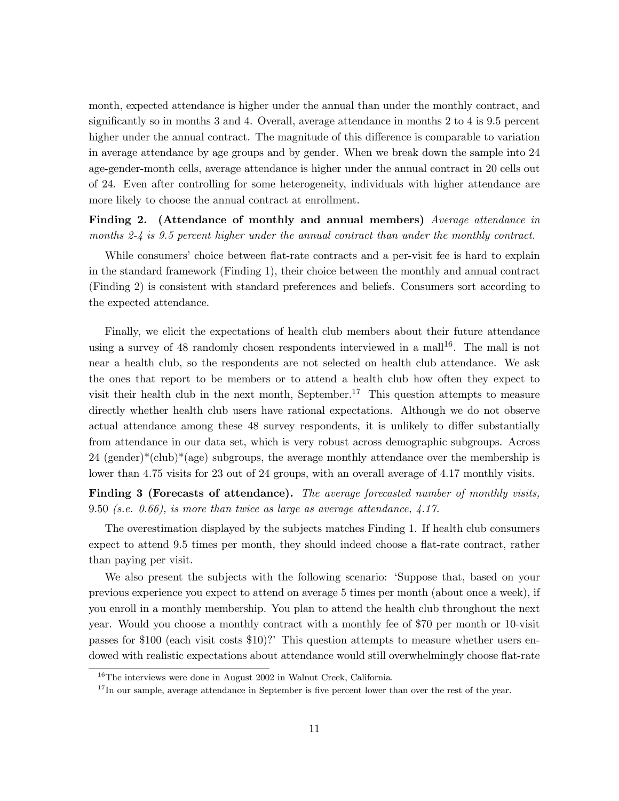month, expected attendance is higher under the annual than under the monthly contract, and significantly so in months 3 and 4. Overall, average attendance in months 2 to 4 is 9.5 percent higher under the annual contract. The magnitude of this difference is comparable to variation in average attendance by age groups and by gender. When we break down the sample into 24 age-gender-month cells, average attendance is higher under the annual contract in 20 cells out of 24. Even after controlling for some heterogeneity, individuals with higher attendance are more likely to choose the annual contract at enrollment.

Finding 2. (Attendance of monthly and annual members) Average attendance in months 2- $\frac{1}{4}$  is 9.5 percent higher under the annual contract than under the monthly contract.

While consumers' choice between flat-rate contracts and a per-visit fee is hard to explain in the standard framework (Finding 1), their choice between the monthly and annual contract (Finding 2) is consistent with standard preferences and beliefs. Consumers sort according to the expected attendance.

Finally, we elicit the expectations of health club members about their future attendance using a survey of 48 randomly chosen respondents interviewed in a mall<sup>16</sup>. The mall is not near a health club, so the respondents are not selected on health club attendance. We ask the ones that report to be members or to attend a health club how often they expect to visit their health club in the next month, September.<sup>17</sup> This question attempts to measure directly whether health club users have rational expectations. Although we do not observe actual attendance among these 48 survey respondents, it is unlikely to differ substantially from attendance in our data set, which is very robust across demographic subgroups. Across  $24$  (gender)\*(club)\*(age) subgroups, the average monthly attendance over the membership is lower than 4.75 visits for 23 out of 24 groups, with an overall average of 4.17 monthly visits.

Finding 3 (Forecasts of attendance). The average forecasted number of monthly visits, 9.50 (s.e. 0.66), is more than twice as large as average attendance, 4.17.

The overestimation displayed by the subjects matches Finding 1. If health club consumers expect to attend 9.5 times per month, they should indeed choose a flat-rate contract, rather than paying per visit.

We also present the subjects with the following scenario: 'Suppose that, based on your previous experience you expect to attend on average 5 times per month (about once a week), if you enroll in a monthly membership. You plan to attend the health club throughout the next year. Would you choose a monthly contract with a monthly fee of \$70 per month or 10-visit passes for \$100 (each visit costs \$10)?' This question attempts to measure whether users endowed with realistic expectations about attendance would still overwhelmingly choose flat-rate

<sup>&</sup>lt;sup>16</sup>The interviews were done in August 2002 in Walnut Creek, California.

<sup>&</sup>lt;sup>17</sup>In our sample, average attendance in September is five percent lower than over the rest of the year.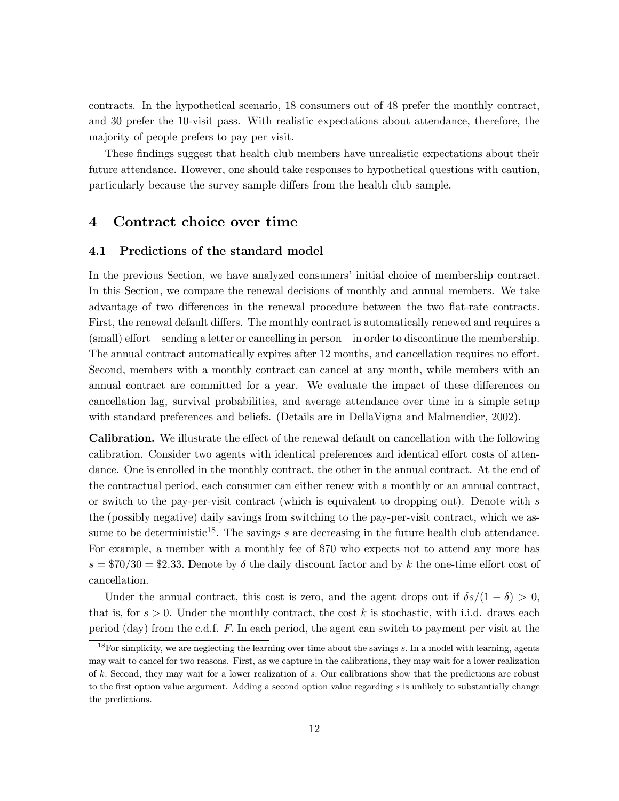contracts. In the hypothetical scenario, 18 consumers out of 48 prefer the monthly contract, and 30 prefer the 10-visit pass. With realistic expectations about attendance, therefore, the majority of people prefers to pay per visit.

These findings suggest that health club members have unrealistic expectations about their future attendance. However, one should take responses to hypothetical questions with caution, particularly because the survey sample differs from the health club sample.

## 4 Contract choice over time

#### 4.1 Predictions of the standard model

In the previous Section, we have analyzed consumers' initial choice of membership contract. In this Section, we compare the renewal decisions of monthly and annual members. We take advantage of two differences in the renewal procedure between the two flat-rate contracts. First, the renewal default differs. The monthly contract is automatically renewed and requires a (small) effort–sending a letter or cancelling in person–in order to discontinue the membership. The annual contract automatically expires after 12 months, and cancellation requires no effort. Second, members with a monthly contract can cancel at any month, while members with an annual contract are committed for a year. We evaluate the impact of these differences on cancellation lag, survival probabilities, and average attendance over time in a simple setup with standard preferences and beliefs. (Details are in DellaVigna and Malmendier, 2002).

Calibration. We illustrate the effect of the renewal default on cancellation with the following calibration. Consider two agents with identical preferences and identical effort costs of attendance. One is enrolled in the monthly contract, the other in the annual contract. At the end of the contractual period, each consumer can either renew with a monthly or an annual contract, or switch to the pay-per-visit contract (which is equivalent to dropping out). Denote with s the (possibly negative) daily savings from switching to the pay-per-visit contract, which we assume to be deterministic<sup>18</sup>. The savings s are decreasing in the future health club attendance. For example, a member with a monthly fee of \$70 who expects not to attend any more has  $s = $70/30 = $2.33$ . Denote by  $\delta$  the daily discount factor and by k the one-time effort cost of cancellation.

Under the annual contract, this cost is zero, and the agent drops out if  $\delta s/(1 - \delta) > 0$ , that is, for  $s > 0$ . Under the monthly contract, the cost k is stochastic, with i.i.d. draws each period (day) from the c.d.f.  $F$ . In each period, the agent can switch to payment per visit at the

 $18$ For simplicity, we are neglecting the learning over time about the savings s. In a model with learning, agents may wait to cancel for two reasons. First, as we capture in the calibrations, they may wait for a lower realization of  $k$ . Second, they may wait for a lower realization of  $s$ . Our calibrations show that the predictions are robust to the first option value argument. Adding a second option value regarding s is unlikely to substantially change the predictions.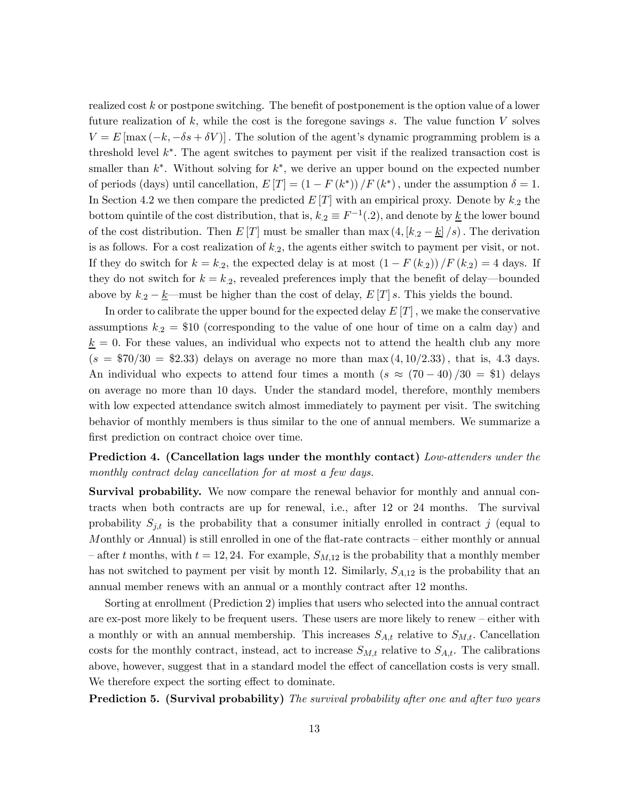realized cost k or postpone switching. The benefit of postponement is the option value of a lower future realization of  $k$ , while the cost is the foregone savings  $s$ . The value function  $V$  solves  $V = E[\max(-k, -\delta s + \delta V)]$ . The solution of the agent's dynamic programming problem is a threshold level  $k^*$ . The agent switches to payment per visit if the realized transaction cost is smaller than  $k^*$ . Without solving for  $k^*$ , we derive an upper bound on the expected number of periods (days) until cancellation,  $E[T] = (1 - F(k^*))/F(k^*)$ , under the assumption  $\delta = 1$ . In Section 4.2 we then compare the predicted  $E[T]$  with an empirical proxy. Denote by  $k_2$  the bottom quintile of the cost distribution, that is,  $k_2 \equiv F^{-1}(0.2)$ , and denote by  $\underline{k}$  the lower bound of the cost distribution. Then  $E[T]$  must be smaller than max  $(4, [k_2 - k]/s)$ . The derivation is as follows. For a cost realization of  $k_{.2}$ , the agents either switch to payment per visit, or not. If they do switch for  $k = k_2$ , the expected delay is at most  $\left(1 - F(k_2)\right) / F(k_2) = 4$  days. If they do not switch for  $k = k_2$ , revealed preferences imply that the benefit of delay—bounded above by  $k_2 - k$ —must be higher than the cost of delay,  $E[T]$  s. This yields the bound.

In order to calibrate the upper bound for the expected delay  $E[T]$ , we make the conservative assumptions  $k_2 = $10$  (corresponding to the value of one hour of time on a calm day) and  $k = 0$ . For these values, an individual who expects not to attend the health club any more  $(s = $70/30 = $2.33)$  delays on average no more than max  $(4, 10/2.33)$ , that is, 4.3 days. An individual who expects to attend four times a month  $(s \approx (70-40)/30 =$  \$1) delays on average no more than 10 days. Under the standard model, therefore, monthly members with low expected attendance switch almost immediately to payment per visit. The switching behavior of monthly members is thus similar to the one of annual members. We summarize a first prediction on contract choice over time.

## Prediction 4. (Cancellation lags under the monthly contact) Low-attenders under the monthly contract delay cancellation for at most a few days.

Survival probability. We now compare the renewal behavior for monthly and annual contracts when both contracts are up for renewal, i.e., after 12 or 24 months. The survival probability  $S_{j,t}$  is the probability that a consumer initially enrolled in contract j (equal to Monthly or Annual) is still enrolled in one of the flat-rate contracts — either monthly or annual – after t months, with  $t = 12, 24$ . For example,  $S_{M,12}$  is the probability that a monthly member has not switched to payment per visit by month 12. Similarly,  $S_{A,12}$  is the probability that an annual member renews with an annual or a monthly contract after 12 months.

Sorting at enrollment (Prediction 2) implies that users who selected into the annual contract are ex-post more likely to be frequent users. These users are more likely to renew — either with a monthly or with an annual membership. This increases  $S_{A,t}$  relative to  $S_{M,t}$ . Cancellation costs for the monthly contract, instead, act to increase  $S_{M,t}$  relative to  $S_{A,t}$ . The calibrations above, however, suggest that in a standard model the effect of cancellation costs is very small. We therefore expect the sorting effect to dominate.

**Prediction 5. (Survival probability)** The survival probability after one and after two years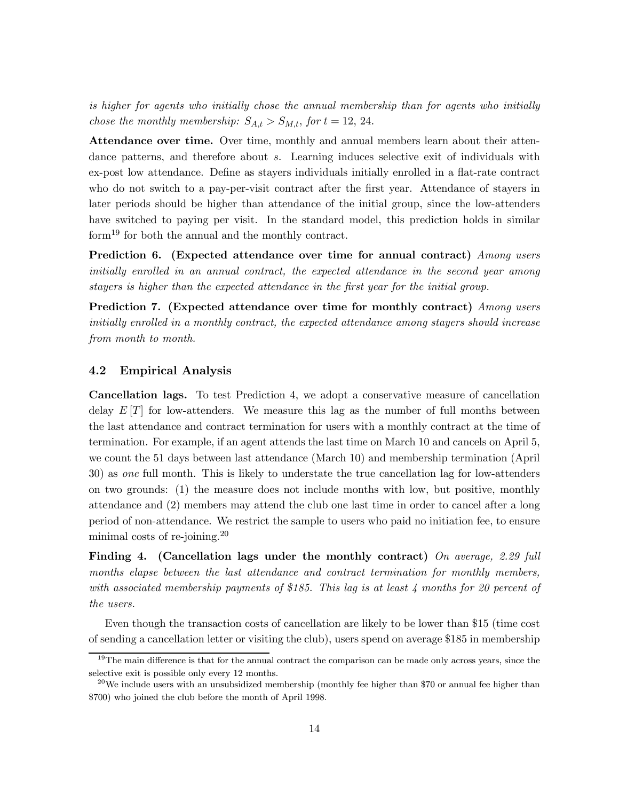is higher for agents who initially chose the annual membership than for agents who initially chose the monthly membership:  $S_{A,t} > S_{M,t}$ , for  $t = 12, 24$ .

Attendance over time. Over time, monthly and annual members learn about their attendance patterns, and therefore about s. Learning induces selective exit of individuals with ex-post low attendance. Define as stayers individuals initially enrolled in a flat-rate contract who do not switch to a pay-per-visit contract after the first year. Attendance of stayers in later periods should be higher than attendance of the initial group, since the low-attenders have switched to paying per visit. In the standard model, this prediction holds in similar form<sup>19</sup> for both the annual and the monthly contract.

Prediction 6. (Expected attendance over time for annual contract) Among users initially enrolled in an annual contract, the expected attendance in the second year among stayers is higher than the expected attendance in the first year for the initial group.

Prediction 7. (Expected attendance over time for monthly contract) Among users initially enrolled in a monthly contract, the expected attendance among stayers should increase from month to month.

#### 4.2 Empirical Analysis

Cancellation lags. To test Prediction 4, we adopt a conservative measure of cancellation delay  $E[T]$  for low-attenders. We measure this lag as the number of full months between the last attendance and contract termination for users with a monthly contract at the time of termination. For example, if an agent attends the last time on March 10 and cancels on April 5, we count the 51 days between last attendance (March 10) and membership termination (April 30) as one full month. This is likely to understate the true cancellation lag for low-attenders on two grounds: (1) the measure does not include months with low, but positive, monthly attendance and (2) members may attend the club one last time in order to cancel after a long period of non-attendance. We restrict the sample to users who paid no initiation fee, to ensure minimal costs of re-joining.<sup>20</sup>

Finding 4. (Cancellation lags under the monthly contract) On average, 2.29 full months elapse between the last attendance and contract termination for monthly members, with associated membership payments of \$185. This lag is at least 4 months for 20 percent of the users.

Even though the transaction costs of cancellation are likely to be lower than \$15 (time cost of sending a cancellation letter or visiting the club), users spend on average \$185 in membership

<sup>&</sup>lt;sup>19</sup>The main difference is that for the annual contract the comparison can be made only across years, since the selective exit is possible only every 12 months.

 $^{20}$ We include users with an unsubsidized membership (monthly fee higher than \$70 or annual fee higher than \$700) who joined the club before the month of April 1998.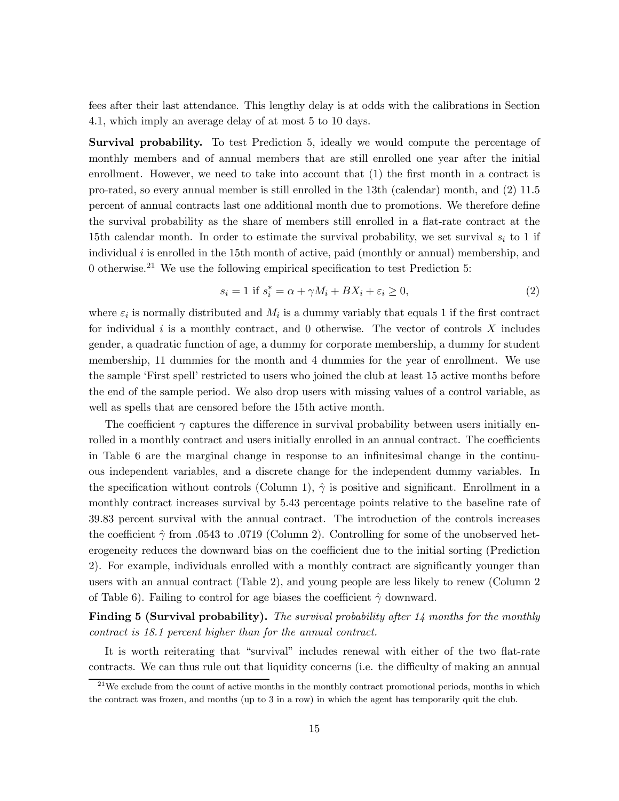fees after their last attendance. This lengthy delay is at odds with the calibrations in Section 4.1, which imply an average delay of at most 5 to 10 days.

**Survival probability.** To test Prediction 5, ideally we would compute the percentage of monthly members and of annual members that are still enrolled one year after the initial enrollment. However, we need to take into account that (1) the first month in a contract is pro-rated, so every annual member is still enrolled in the 13th (calendar) month, and (2) 11.5 percent of annual contracts last one additional month due to promotions. We therefore define the survival probability as the share of members still enrolled in a flat-rate contract at the 15th calendar month. In order to estimate the survival probability, we set survival  $s_i$  to 1 if individual  $i$  is enrolled in the 15th month of active, paid (monthly or annual) membership, and 0 otherwise.<sup>21</sup> We use the following empirical specification to test Prediction 5:

$$
s_i = 1 \text{ if } s_i^* = \alpha + \gamma M_i + BX_i + \varepsilon_i \ge 0,
$$
\n
$$
(2)
$$

where  $\varepsilon_i$  is normally distributed and  $M_i$  is a dummy variably that equals 1 if the first contract for individual i is a monthly contract, and  $0$  otherwise. The vector of controls X includes gender, a quadratic function of age, a dummy for corporate membership, a dummy for student membership, 11 dummies for the month and 4 dummies for the year of enrollment. We use the sample 'First spell' restricted to users who joined the club at least 15 active months before the end of the sample period. We also drop users with missing values of a control variable, as well as spells that are censored before the 15th active month.

The coefficient  $\gamma$  captures the difference in survival probability between users initially enrolled in a monthly contract and users initially enrolled in an annual contract. The coefficients in Table 6 are the marginal change in response to an infinitesimal change in the continuous independent variables, and a discrete change for the independent dummy variables. In the specification without controls (Column 1),  $\hat{\gamma}$  is positive and significant. Enrollment in a monthly contract increases survival by 5.43 percentage points relative to the baseline rate of 39.83 percent survival with the annual contract. The introduction of the controls increases the coefficient  $\hat{\gamma}$  from .0543 to .0719 (Column 2). Controlling for some of the unobserved heterogeneity reduces the downward bias on the coefficient due to the initial sorting (Prediction 2). For example, individuals enrolled with a monthly contract are significantly younger than users with an annual contract (Table 2), and young people are less likely to renew (Column 2 of Table 6). Failing to control for age biases the coefficient  $\hat{\gamma}$  downward.

Finding 5 (Survival probability). The survival probability after 14 months for the monthly contract is 18.1 percent higher than for the annual contract.

It is worth reiterating that "survival" includes renewal with either of the two flat-rate contracts. We can thus rule out that liquidity concerns (i.e. the difficulty of making an annual

 $^{21}$ We exclude from the count of active months in the monthly contract promotional periods, months in which the contract was frozen, and months (up to 3 in a row) in which the agent has temporarily quit the club.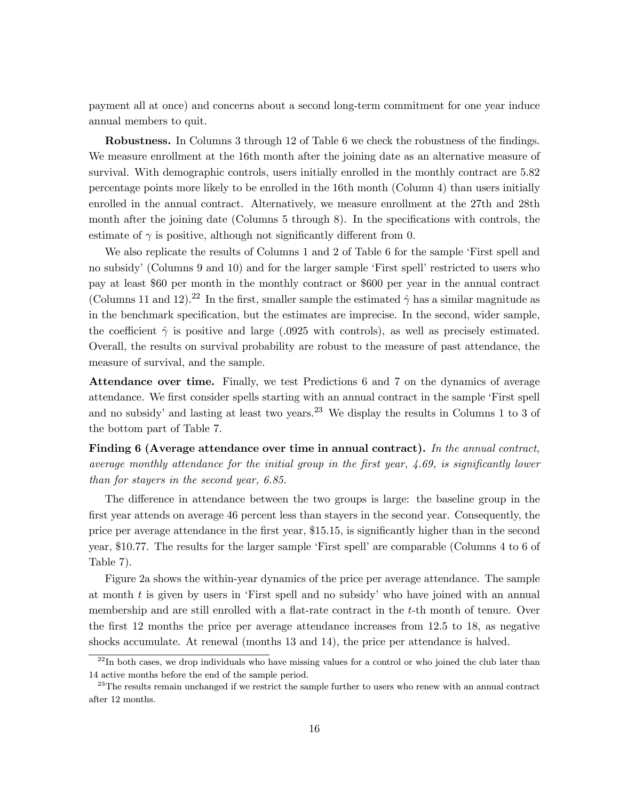payment all at once) and concerns about a second long-term commitment for one year induce annual members to quit.

Robustness. In Columns 3 through 12 of Table 6 we check the robustness of the findings. We measure enrollment at the 16th month after the joining date as an alternative measure of survival. With demographic controls, users initially enrolled in the monthly contract are 5.82 percentage points more likely to be enrolled in the 16th month (Column 4) than users initially enrolled in the annual contract. Alternatively, we measure enrollment at the 27th and 28th month after the joining date (Columns 5 through 8). In the specifications with controls, the estimate of  $\gamma$  is positive, although not significantly different from 0.

We also replicate the results of Columns 1 and 2 of Table 6 for the sample 'First spell and no subsidy' (Columns 9 and 10) and for the larger sample 'First spell' restricted to users who pay at least \$60 per month in the monthly contract or \$600 per year in the annual contract (Columns 11 and 12).<sup>22</sup> In the first, smaller sample the estimated  $\hat{\gamma}$  has a similar magnitude as in the benchmark specification, but the estimates are imprecise. In the second, wider sample, the coefficient  $\hat{\gamma}$  is positive and large (.0925 with controls), as well as precisely estimated. Overall, the results on survival probability are robust to the measure of past attendance, the measure of survival, and the sample.

Attendance over time. Finally, we test Predictions 6 and 7 on the dynamics of average attendance. We first consider spells starting with an annual contract in the sample 'First spell and no subsidy' and lasting at least two years.<sup>23</sup> We display the results in Columns 1 to 3 of the bottom part of Table 7.

Finding 6 (Average attendance over time in annual contract). In the annual contract, average monthly attendance for the initial group in the first year, 4.69, is significantly lower than for stayers in the second year, 6.85.

The difference in attendance between the two groups is large: the baseline group in the first year attends on average 46 percent less than stayers in the second year. Consequently, the price per average attendance in the first year, \$15.15, is significantly higher than in the second year, \$10.77. The results for the larger sample 'First spell' are comparable (Columns 4 to 6 of Table 7).

Figure 2a shows the within-year dynamics of the price per average attendance. The sample at month t is given by users in 'First spell and no subsidy' who have joined with an annual membership and are still enrolled with a flat-rate contract in the t-th month of tenure. Over the first 12 months the price per average attendance increases from 12.5 to 18, as negative shocks accumulate. At renewal (months 13 and 14), the price per attendance is halved.

<sup>&</sup>lt;sup>22</sup>In both cases, we drop individuals who have missing values for a control or who joined the club later than 14 active months before the end of the sample period.

<sup>&</sup>lt;sup>23</sup>The results remain unchanged if we restrict the sample further to users who renew with an annual contract after 12 months.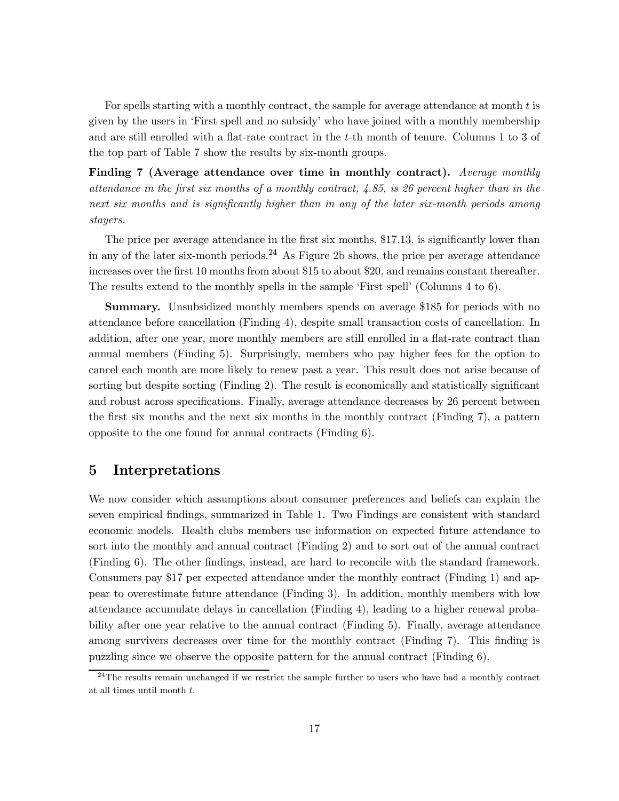For spells starting with a monthly contract, the sample for average attendance at month t is given by the users in 'First spell and no subsidy' who have joined with a monthly membership and are still enrolled with a flat-rate contract in the t-th month of tenure. Columns 1 to 3 of the top part of Table 7 show the results by six-month groups.

Finding 7 (Average attendance over time in monthly contract). Average monthly attendance in the first six months of a monthly contract,  $4.85$ , is 26 percent higher than in the next six months and is significantly higher than in any of the later six-month periods among stayers.

The price per average attendance in the first six months, \$17.13, is significantly lower than in any of the later six-month periods.<sup>24</sup> As Figure 2b shows, the price per average attendance increases over the first 10 months from about \$15 to about \$20, and remains constant thereafter. The results extend to the monthly spells in the sample 'First spell' (Columns 4 to 6).

Summary. Unsubsidized monthly members spends on average \$185 for periods with no attendance before cancellation (Finding 4), despite small transaction costs of cancellation. In addition, after one year, more monthly members are still enrolled in a flat-rate contract than annual members (Finding 5). Surprisingly, members who pay higher fees for the option to cancel each month are more likely to renew past a year. This result does not arise because of sorting but despite sorting (Finding 2). The result is economically and statistically significant and robust across specifications. Finally, average attendance decreases by 26 percent between the first six months and the next six months in the monthly contract (Finding 7), a pattern opposite to the one found for annual contracts (Finding 6).

### 5 Interpretations

We now consider which assumptions about consumer preferences and beliefs can explain the seven empirical findings, summarized in Table 1. Two Findings are consistent with standard economic models. Health clubs members use information on expected future attendance to sort into the monthly and annual contract (Finding 2) and to sort out of the annual contract (Finding 6). The other findings, instead, are hard to reconcile with the standard framework. Consumers pay \$17 per expected attendance under the monthly contract (Finding 1) and appear to overestimate future attendance (Finding 3). In addition, monthly members with low attendance accumulate delays in cancellation (Finding 4), leading to a higher renewal probability after one year relative to the annual contract (Finding 5). Finally, average attendance among survivers decreases over time for the monthly contract (Finding 7). This finding is puzzling since we observe the opposite pattern for the annual contract (Finding 6).

 $24$ The results remain unchanged if we restrict the sample further to users who have had a monthly contract at all times until month t.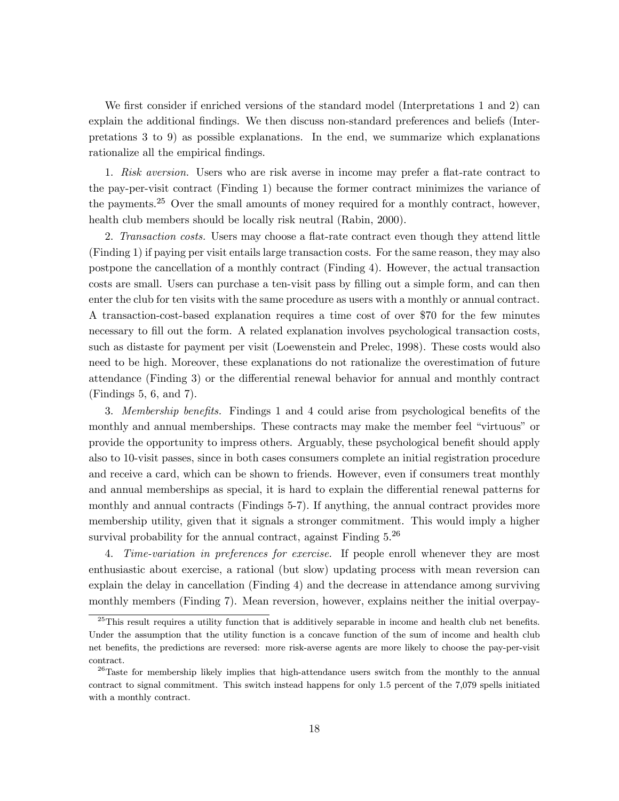We first consider if enriched versions of the standard model (Interpretations 1 and 2) can explain the additional findings. We then discuss non-standard preferences and beliefs (Interpretations 3 to 9) as possible explanations. In the end, we summarize which explanations rationalize all the empirical findings.

1. Risk aversion. Users who are risk averse in income may prefer a flat-rate contract to the pay-per-visit contract (Finding 1) because the former contract minimizes the variance of the payments.<sup>25</sup> Over the small amounts of money required for a monthly contract, however, health club members should be locally risk neutral (Rabin, 2000).

2. Transaction costs. Users may choose a flat-rate contract even though they attend little (Finding 1) if paying per visit entails large transaction costs. For the same reason, they may also postpone the cancellation of a monthly contract (Finding 4). However, the actual transaction costs are small. Users can purchase a ten-visit pass by filling out a simple form, and can then enter the club for ten visits with the same procedure as users with a monthly or annual contract. A transaction-cost-based explanation requires a time cost of over \$70 for the few minutes necessary to fill out the form. A related explanation involves psychological transaction costs, such as distaste for payment per visit (Loewenstein and Prelec, 1998). These costs would also need to be high. Moreover, these explanations do not rationalize the overestimation of future attendance (Finding 3) or the differential renewal behavior for annual and monthly contract (Findings 5, 6, and 7).

3. Membership benefits. Findings 1 and 4 could arise from psychological benefits of the monthly and annual memberships. These contracts may make the member feel "virtuous" or provide the opportunity to impress others. Arguably, these psychological benefit should apply also to 10-visit passes, since in both cases consumers complete an initial registration procedure and receive a card, which can be shown to friends. However, even if consumers treat monthly and annual memberships as special, it is hard to explain the differential renewal patterns for monthly and annual contracts (Findings 5-7). If anything, the annual contract provides more membership utility, given that it signals a stronger commitment. This would imply a higher survival probability for the annual contract, against Finding  $5.^{26}$ 

4. Time-variation in preferences for exercise. If people enroll whenever they are most enthusiastic about exercise, a rational (but slow) updating process with mean reversion can explain the delay in cancellation (Finding 4) and the decrease in attendance among surviving monthly members (Finding 7). Mean reversion, however, explains neither the initial overpay-

<sup>&</sup>lt;sup>25</sup>This result requires a utility function that is additively separable in income and health club net benefits. Under the assumption that the utility function is a concave function of the sum of income and health club net benefits, the predictions are reversed: more risk-averse agents are more likely to choose the pay-per-visit contract.

 $26$ Taste for membership likely implies that high-attendance users switch from the monthly to the annual contract to signal commitment. This switch instead happens for only 1.5 percent of the 7,079 spells initiated with a monthly contract.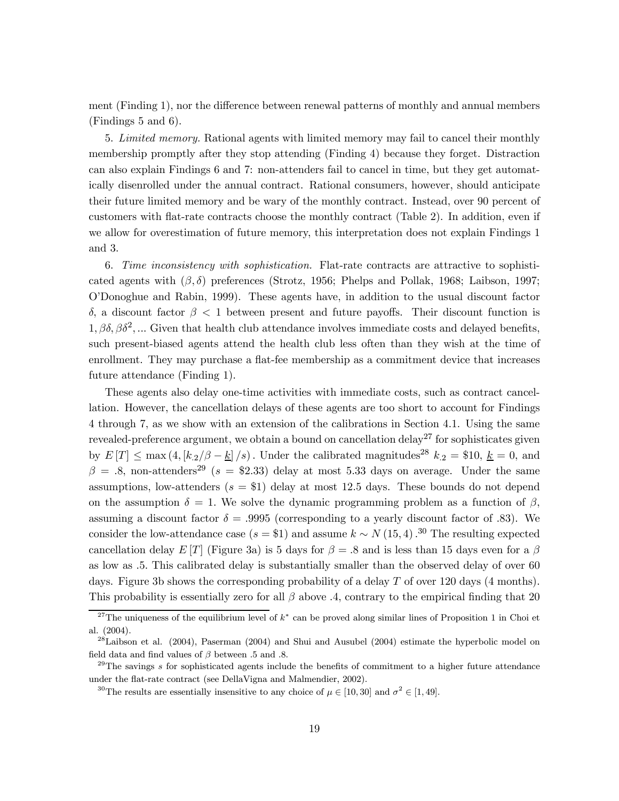ment (Finding 1), nor the difference between renewal patterns of monthly and annual members (Findings 5 and 6).

5. Limited memory. Rational agents with limited memory may fail to cancel their monthly membership promptly after they stop attending (Finding 4) because they forget. Distraction can also explain Findings 6 and 7: non-attenders fail to cancel in time, but they get automatically disenrolled under the annual contract. Rational consumers, however, should anticipate their future limited memory and be wary of the monthly contract. Instead, over 90 percent of customers with flat-rate contracts choose the monthly contract (Table 2). In addition, even if we allow for overestimation of future memory, this interpretation does not explain Findings 1 and 3.

6. Time inconsistency with sophistication. Flat-rate contracts are attractive to sophisticated agents with  $(\beta, \delta)$  preferences (Strotz, 1956; Phelps and Pollak, 1968; Laibson, 1997; O'Donoghue and Rabin, 1999). These agents have, in addition to the usual discount factor δ, a discount factor β < 1 between present and future payoffs. Their discount function is  $1, \beta\delta, \beta\delta^2, \dots$  Given that health club attendance involves immediate costs and delayed benefits, such present-biased agents attend the health club less often than they wish at the time of enrollment. They may purchase a flat-fee membership as a commitment device that increases future attendance (Finding 1).

These agents also delay one-time activities with immediate costs, such as contract cancellation. However, the cancellation delays of these agents are too short to account for Findings 4 through 7, as we show with an extension of the calibrations in Section 4.1. Using the same revealed-preference argument, we obtain a bound on cancellation delay<sup>27</sup> for sophisticates given by  $E[T] \le \max(4, [k_2/\beta - \underline{k}]/s)$ . Under the calibrated magnitudes<sup>28</sup>  $k_2 = $10, \underline{k} = 0$ , and  $\beta = .8$ , non-attenders<sup>29</sup> (s = \$2.33) delay at most 5.33 days on average. Under the same assumptions, low-attenders  $(s = $1)$  delay at most 12.5 days. These bounds do not depend on the assumption  $\delta = 1$ . We solve the dynamic programming problem as a function of  $\beta$ , assuming a discount factor  $\delta = .9995$  (corresponding to a yearly discount factor of .83). We consider the low-attendance case  $(s = $1)$  and assume  $k \sim N(15, 4)$ .<sup>30</sup> The resulting expected cancellation delay E [T] (Figure 3a) is 5 days for  $\beta = .8$  and is less than 15 days even for a  $\beta$ as low as .5. This calibrated delay is substantially smaller than the observed delay of over 60 days. Figure 3b shows the corresponding probability of a delay  $T$  of over 120 days (4 months). This probability is essentially zero for all  $\beta$  above .4, contrary to the empirical finding that 20

<sup>&</sup>lt;sup>27</sup>The uniqueness of the equilibrium level of  $k^*$  can be proved along similar lines of Proposition 1 in Choi et al. (2004).

 $^{28}$ Laibson et al. (2004), Paserman (2004) and Shui and Ausubel (2004) estimate the hyperbolic model on field data and find values of  $\beta$  between .5 and .8.

 $29$ The savings s for sophisticated agents include the benefits of commitment to a higher future attendance under the flat-rate contract (see DellaVigna and Malmendier, 2002).

<sup>&</sup>lt;sup>30</sup>The results are essentially insensitive to any choice of  $\mu \in [10, 30]$  and  $\sigma^2 \in [1, 49]$ .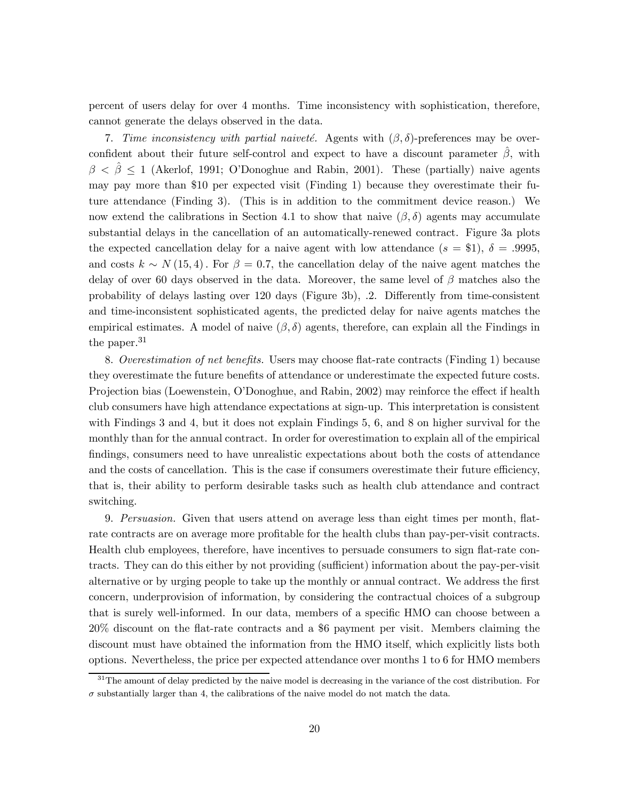percent of users delay for over 4 months. Time inconsistency with sophistication, therefore, cannot generate the delays observed in the data.

7. Time inconsistency with partial naiveté. Agents with  $(\beta, \delta)$ -preferences may be overconfident about their future self-control and expect to have a discount parameter  $\hat{\beta}$ , with  $\beta < \beta \leq 1$  (Akerlof, 1991; O'Donoghue and Rabin, 2001). These (partially) naive agents may pay more than \$10 per expected visit (Finding 1) because they overestimate their future attendance (Finding 3). (This is in addition to the commitment device reason.) We now extend the calibrations in Section 4.1 to show that naive  $(\beta, \delta)$  agents may accumulate substantial delays in the cancellation of an automatically-renewed contract. Figure 3a plots the expected cancellation delay for a naive agent with low attendance  $(s = $1)$ ,  $\delta = .9995$ , and costs  $k \sim N(15, 4)$ . For  $\beta = 0.7$ , the cancellation delay of the naive agent matches the delay of over 60 days observed in the data. Moreover, the same level of  $\beta$  matches also the probability of delays lasting over 120 days (Figure 3b), .2. Differently from time-consistent and time-inconsistent sophisticated agents, the predicted delay for naive agents matches the empirical estimates. A model of naive  $(\beta, \delta)$  agents, therefore, can explain all the Findings in the paper.<sup>31</sup>

8. Overestimation of net benefits. Users may choose flat-rate contracts (Finding 1) because they overestimate the future benefits of attendance or underestimate the expected future costs. Projection bias (Loewenstein, O'Donoghue, and Rabin, 2002) may reinforce the effect if health club consumers have high attendance expectations at sign-up. This interpretation is consistent with Findings 3 and 4, but it does not explain Findings 5, 6, and 8 on higher survival for the monthly than for the annual contract. In order for overestimation to explain all of the empirical findings, consumers need to have unrealistic expectations about both the costs of attendance and the costs of cancellation. This is the case if consumers overestimate their future efficiency, that is, their ability to perform desirable tasks such as health club attendance and contract switching.

9. Persuasion. Given that users attend on average less than eight times per month, flatrate contracts are on average more profitable for the health clubs than pay-per-visit contracts. Health club employees, therefore, have incentives to persuade consumers to sign flat-rate contracts. They can do this either by not providing (sufficient) information about the pay-per-visit alternative or by urging people to take up the monthly or annual contract. We address the first concern, underprovision of information, by considering the contractual choices of a subgroup that is surely well-informed. In our data, members of a specific HMO can choose between a 20% discount on the flat-rate contracts and a \$6 payment per visit. Members claiming the discount must have obtained the information from the HMO itself, which explicitly lists both options. Nevertheless, the price per expected attendance over months 1 to 6 for HMO members

 $31$ The amount of delay predicted by the naive model is decreasing in the variance of the cost distribution. For  $\sigma$  substantially larger than 4, the calibrations of the naive model do not match the data.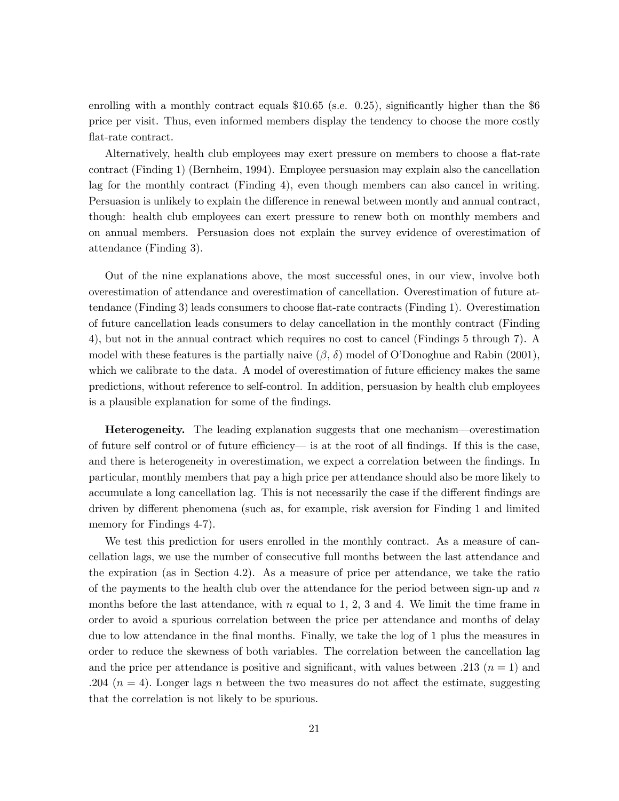enrolling with a monthly contract equals \$10.65 (s.e. 0.25), significantly higher than the \$6 price per visit. Thus, even informed members display the tendency to choose the more costly flat-rate contract.

Alternatively, health club employees may exert pressure on members to choose a flat-rate contract (Finding 1) (Bernheim, 1994). Employee persuasion may explain also the cancellation lag for the monthly contract (Finding 4), even though members can also cancel in writing. Persuasion is unlikely to explain the difference in renewal between montly and annual contract, though: health club employees can exert pressure to renew both on monthly members and on annual members. Persuasion does not explain the survey evidence of overestimation of attendance (Finding 3).

Out of the nine explanations above, the most successful ones, in our view, involve both overestimation of attendance and overestimation of cancellation. Overestimation of future attendance (Finding 3) leads consumers to choose flat-rate contracts (Finding 1). Overestimation of future cancellation leads consumers to delay cancellation in the monthly contract (Finding 4), but not in the annual contract which requires no cost to cancel (Findings 5 through 7). A model with these features is the partially naive  $(\beta, \delta)$  model of O'Donoghue and Rabin (2001), which we calibrate to the data. A model of overestimation of future efficiency makes the same predictions, without reference to self-control. In addition, persuasion by health club employees is a plausible explanation for some of the findings.

Heterogeneity. The leading explanation suggests that one mechanism–overestimation of future self control or of future efficiency– is at the root of all findings. If this is the case, and there is heterogeneity in overestimation, we expect a correlation between the findings. In particular, monthly members that pay a high price per attendance should also be more likely to accumulate a long cancellation lag. This is not necessarily the case if the different findings are driven by different phenomena (such as, for example, risk aversion for Finding 1 and limited memory for Findings 4-7).

We test this prediction for users enrolled in the monthly contract. As a measure of cancellation lags, we use the number of consecutive full months between the last attendance and the expiration (as in Section 4.2). As a measure of price per attendance, we take the ratio of the payments to the health club over the attendance for the period between sign-up and  $n$ months before the last attendance, with n equal to 1, 2, 3 and 4. We limit the time frame in order to avoid a spurious correlation between the price per attendance and months of delay due to low attendance in the final months. Finally, we take the log of 1 plus the measures in order to reduce the skewness of both variables. The correlation between the cancellation lag and the price per attendance is positive and significant, with values between .213  $(n = 1)$  and .204 ( $n = 4$ ). Longer lags n between the two measures do not affect the estimate, suggesting that the correlation is not likely to be spurious.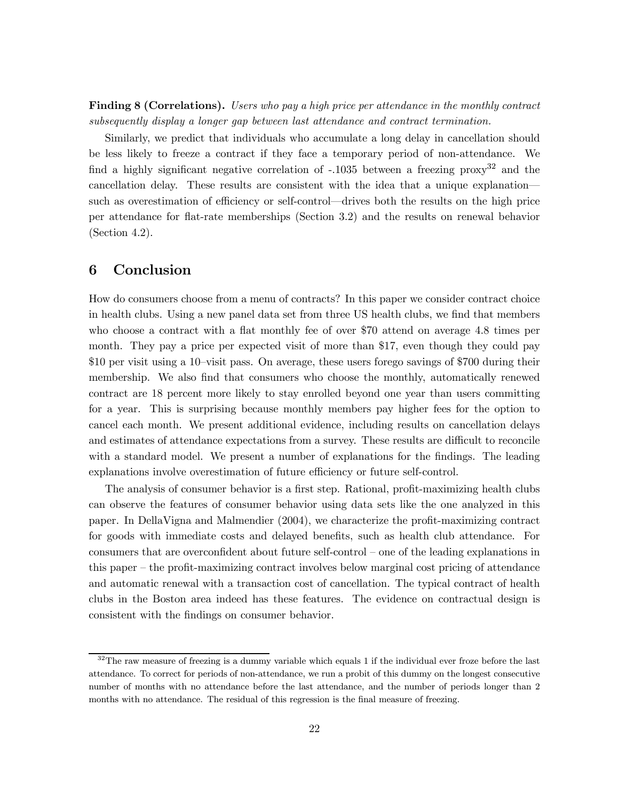Finding 8 (Correlations). Users who pay a high price per attendance in the monthly contract subsequently display a longer gap between last attendance and contract termination.

Similarly, we predict that individuals who accumulate a long delay in cancellation should be less likely to freeze a contract if they face a temporary period of non-attendance. We find a highly significant negative correlation of  $-.1035$  between a freezing proxy<sup>32</sup> and the cancellation delay. These results are consistent with the idea that a unique explanation– such as overestimation of efficiency or self-control–drives both the results on the high price per attendance for flat-rate memberships (Section 3.2) and the results on renewal behavior (Section 4.2).

## 6 Conclusion

How do consumers choose from a menu of contracts? In this paper we consider contract choice in health clubs. Using a new panel data set from three US health clubs, we find that members who choose a contract with a flat monthly fee of over \$70 attend on average 4.8 times per month. They pay a price per expected visit of more than \$17, even though they could pay \$10 per visit using a 10—visit pass. On average, these users forego savings of \$700 during their membership. We also find that consumers who choose the monthly, automatically renewed contract are 18 percent more likely to stay enrolled beyond one year than users committing for a year. This is surprising because monthly members pay higher fees for the option to cancel each month. We present additional evidence, including results on cancellation delays and estimates of attendance expectations from a survey. These results are difficult to reconcile with a standard model. We present a number of explanations for the findings. The leading explanations involve overestimation of future efficiency or future self-control.

The analysis of consumer behavior is a first step. Rational, profit-maximizing health clubs can observe the features of consumer behavior using data sets like the one analyzed in this paper. In DellaVigna and Malmendier (2004), we characterize the profit-maximizing contract for goods with immediate costs and delayed benefits, such as health club attendance. For consumers that are overconfident about future self-control — one of the leading explanations in this paper — the profit-maximizing contract involves below marginal cost pricing of attendance and automatic renewal with a transaction cost of cancellation. The typical contract of health clubs in the Boston area indeed has these features. The evidence on contractual design is consistent with the findings on consumer behavior.

 $32$ The raw measure of freezing is a dummy variable which equals 1 if the individual ever froze before the last attendance. To correct for periods of non-attendance, we run a probit of this dummy on the longest consecutive number of months with no attendance before the last attendance, and the number of periods longer than 2 months with no attendance. The residual of this regression is the final measure of freezing.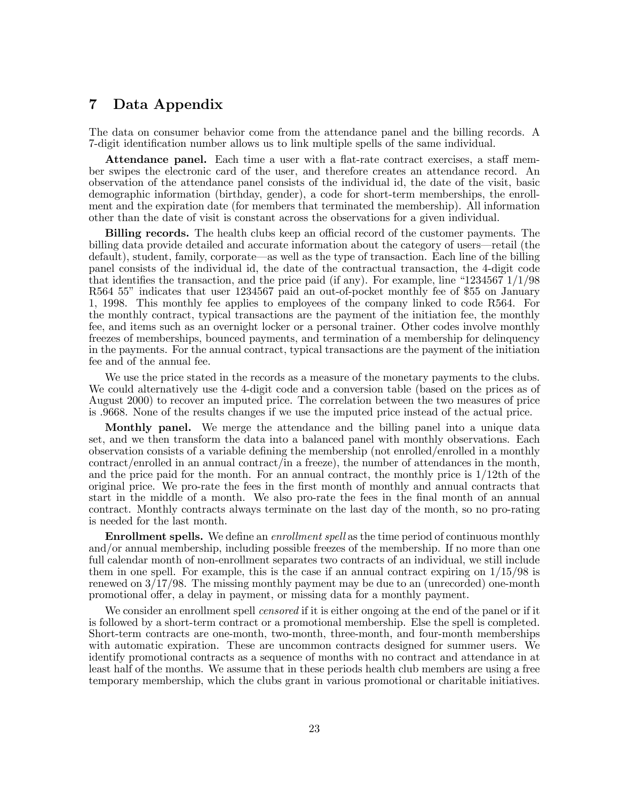## 7 Data Appendix

The data on consumer behavior come from the attendance panel and the billing records. A 7-digit identification number allows us to link multiple spells of the same individual.

Attendance panel. Each time a user with a flat-rate contract exercises, a staff member swipes the electronic card of the user, and therefore creates an attendance record. An observation of the attendance panel consists of the individual id, the date of the visit, basic demographic information (birthday, gender), a code for short-term memberships, the enrollment and the expiration date (for members that terminated the membership). All information other than the date of visit is constant across the observations for a given individual.

Billing records. The health clubs keep an official record of the customer payments. The billing data provide detailed and accurate information about the category of users–retail (the default), student, family, corporate–as well as the type of transaction. Each line of the billing panel consists of the individual id, the date of the contractual transaction, the 4-digit code that identifies the transaction, and the price paid (if any). For example, line "1234567  $1/1/98$ R564 55" indicates that user 1234567 paid an out-of-pocket monthly fee of \$55 on January 1, 1998. This monthly fee applies to employees of the company linked to code R564. For the monthly contract, typical transactions are the payment of the initiation fee, the monthly fee, and items such as an overnight locker or a personal trainer. Other codes involve monthly freezes of memberships, bounced payments, and termination of a membership for delinquency in the payments. For the annual contract, typical transactions are the payment of the initiation fee and of the annual fee.

We use the price stated in the records as a measure of the monetary payments to the clubs. We could alternatively use the 4-digit code and a conversion table (based on the prices as of August 2000) to recover an imputed price. The correlation between the two measures of price is .9668. None of the results changes if we use the imputed price instead of the actual price.

Monthly panel. We merge the attendance and the billing panel into a unique data set, and we then transform the data into a balanced panel with monthly observations. Each observation consists of a variable defining the membership (not enrolled/enrolled in a monthly contract/enrolled in an annual contract/in a freeze), the number of attendances in the month, and the price paid for the month. For an annual contract, the monthly price is 1/12th of the original price. We pro-rate the fees in the first month of monthly and annual contracts that start in the middle of a month. We also pro-rate the fees in the final month of an annual contract. Monthly contracts always terminate on the last day of the month, so no pro-rating is needed for the last month.

**Enrollment spells.** We define an *enrollment spell* as the time period of continuous monthly and/or annual membership, including possible freezes of the membership. If no more than one full calendar month of non-enrollment separates two contracts of an individual, we still include them in one spell. For example, this is the case if an annual contract expiring on  $1/15/98$  is renewed on 3/17/98. The missing monthly payment may be due to an (unrecorded) one-month promotional offer, a delay in payment, or missing data for a monthly payment.

We consider an enrollment spell *censored* if it is either ongoing at the end of the panel or if it is followed by a short-term contract or a promotional membership. Else the spell is completed. Short-term contracts are one-month, two-month, three-month, and four-month memberships with automatic expiration. These are uncommon contracts designed for summer users. We identify promotional contracts as a sequence of months with no contract and attendance in at least half of the months. We assume that in these periods health club members are using a free temporary membership, which the clubs grant in various promotional or charitable initiatives.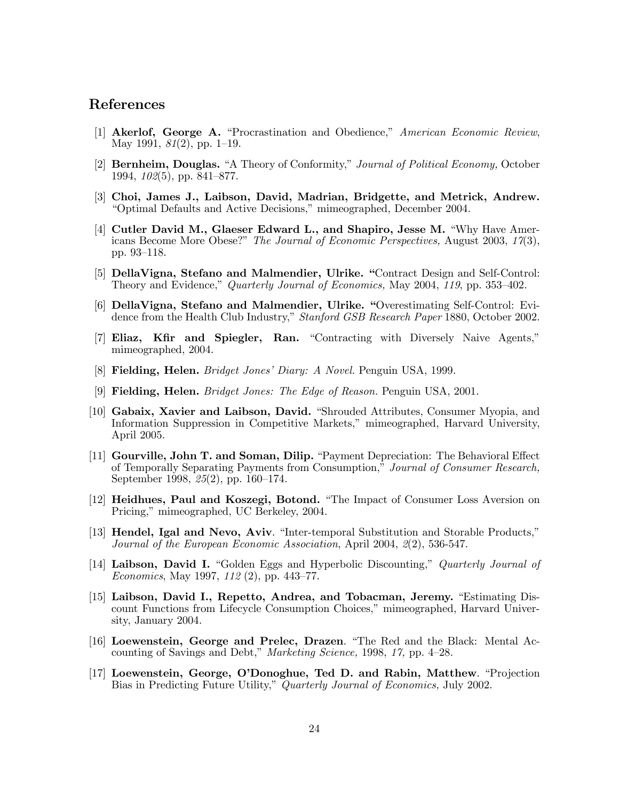## References

- [1] Akerlof, George A. "Procrastination and Obedience," American Economic Review, May 1991, 81(2), pp. 1—19.
- [2] Bernheim, Douglas. "A Theory of Conformity," Journal of Political Economy, October 1994, 102(5), pp. 841—877.
- [3] Choi, James J., Laibson, David, Madrian, Bridgette, and Metrick, Andrew. "Optimal Defaults and Active Decisions," mimeographed, December 2004.
- [4] Cutler David M., Glaeser Edward L., and Shapiro, Jesse M. "Why Have Americans Become More Obese?" The Journal of Economic Perspectives, August 2003, 17(3), pp. 93—118.
- [5] DellaVigna, Stefano and Malmendier, Ulrike. "Contract Design and Self-Control: Theory and Evidence," Quarterly Journal of Economics, May 2004, 119, pp. 353—402.
- [6] DellaVigna, Stefano and Malmendier, Ulrike. "Overestimating Self-Control: Evidence from the Health Club Industry," Stanford GSB Research Paper 1880, October 2002.
- [7] Eliaz, Kfir and Spiegler, Ran. "Contracting with Diversely Naive Agents," mimeographed, 2004.
- [8] Fielding, Helen. Bridget Jones' Diary: A Novel. Penguin USA, 1999.
- [9] Fielding, Helen. Bridget Jones: The Edge of Reason. Penguin USA, 2001.
- [10] Gabaix, Xavier and Laibson, David. "Shrouded Attributes, Consumer Myopia, and Information Suppression in Competitive Markets," mimeographed, Harvard University, April 2005.
- [11] Gourville, John T. and Soman, Dilip. "Payment Depreciation: The Behavioral Effect of Temporally Separating Payments from Consumption," Journal of Consumer Research, September 1998, 25(2), pp. 160—174.
- [12] Heidhues, Paul and Koszegi, Botond. "The Impact of Consumer Loss Aversion on Pricing," mimeographed, UC Berkeley, 2004.
- [13] Hendel, Igal and Nevo, Aviv. "Inter-temporal Substitution and Storable Products," Journal of the European Economic Association, April 2004, 2(2), 536-547.
- [14] Laibson, David I. "Golden Eggs and Hyperbolic Discounting," Quarterly Journal of Economics, May 1997, 112 (2), pp. 443—77.
- [15] Laibson, David I., Repetto, Andrea, and Tobacman, Jeremy. "Estimating Discount Functions from Lifecycle Consumption Choices," mimeographed, Harvard University, January 2004.
- [16] Loewenstein, George and Prelec, Drazen. "The Red and the Black: Mental Accounting of Savings and Debt," Marketing Science, 1998, 17, pp. 4—28.
- [17] Loewenstein, George, O'Donoghue, Ted D. and Rabin, Matthew. "Projection Bias in Predicting Future Utility," Quarterly Journal of Economics, July 2002.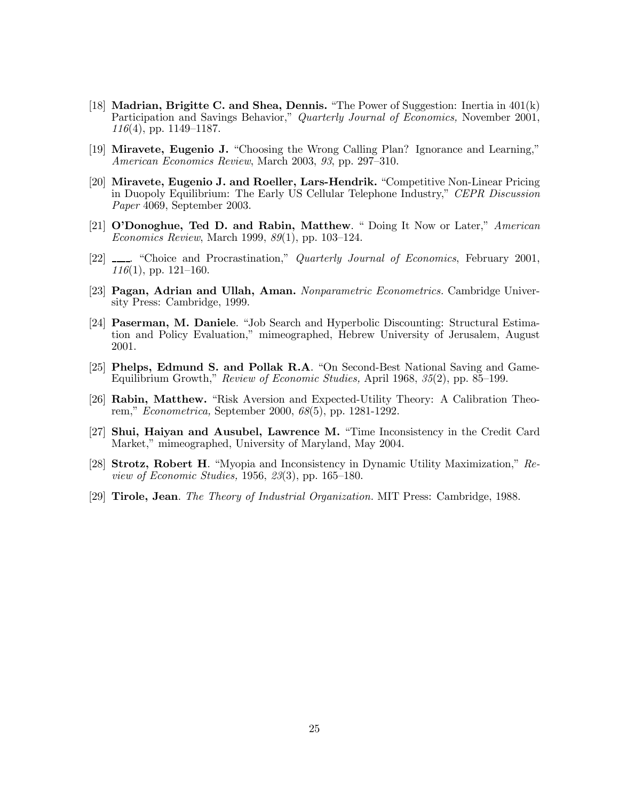- [18] Madrian, Brigitte C. and Shea, Dennis. "The Power of Suggestion: Inertia in 401(k) Participation and Savings Behavior," Quarterly Journal of Economics, November 2001,  $116(4)$ , pp. 1149–1187.
- [19] Miravete, Eugenio J. "Choosing the Wrong Calling Plan? Ignorance and Learning," American Economics Review, March 2003, 93, pp. 297—310.
- [20] Miravete, Eugenio J. and Roeller, Lars-Hendrik. "Competitive Non-Linear Pricing in Duopoly Equilibrium: The Early US Cellular Telephone Industry," CEPR Discussion Paper 4069, September 2003.
- $[21]$  O'Donoghue, Ted D. and Rabin, Matthew. " Doing It Now or Later," American Economics Review, March 1999, 89(1), pp. 103—124.
- [22] \_\_\_\_. "Choice and Procrastination," *Quarterly Journal of Economics*, February 2001,  $116(1)$ , pp. 121–160.
- [23] **Pagan, Adrian and Ullah, Aman.** Nonparametric Econometrics. Cambridge University Press: Cambridge, 1999.
- [24] Paserman, M. Daniele. "Job Search and Hyperbolic Discounting: Structural Estimation and Policy Evaluation," mimeographed, Hebrew University of Jerusalem, August 2001.
- [25] Phelps, Edmund S. and Pollak R.A. "On Second-Best National Saving and Game-Equilibrium Growth," Review of Economic Studies, April 1968, 35(2), pp. 85—199.
- [26] Rabin, Matthew. "Risk Aversion and Expected-Utility Theory: A Calibration Theorem," Econometrica, September 2000, 68(5), pp. 1281-1292.
- [27] Shui, Haiyan and Ausubel, Lawrence M. "Time Inconsistency in the Credit Card Market," mimeographed, University of Maryland, May 2004.
- [28] Strotz, Robert H. "Myopia and Inconsistency in Dynamic Utility Maximization," Review of Economic Studies, 1956, 23(3), pp. 165—180.
- [29] Tirole, Jean. The Theory of Industrial Organization. MIT Press: Cambridge, 1988.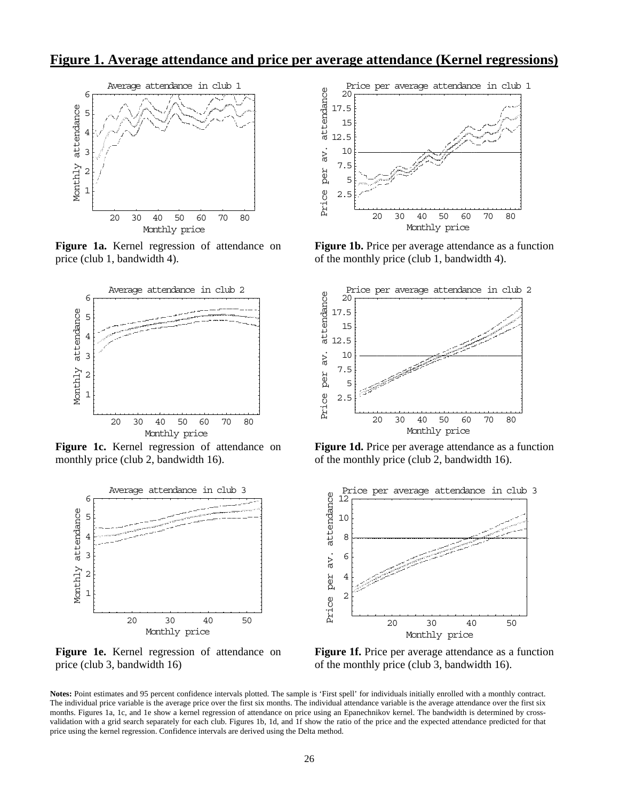**Figure 1. Average attendance and price per average attendance (Kernel regressions)**



**Figure 1a.** Kernel regression of attendance on price (club 1, bandwidth 4).



**Figure 1c.** Kernel regression of attendance on monthly price (club 2, bandwidth 16).



**Figure 1e.** Kernel regression of attendance on price (club 3, bandwidth 16)



**Figure 1b.** Price per average attendance as a function of the monthly price (club 1, bandwidth 4).



**Figure 1d.** Price per average attendance as a function of the monthly price (club 2, bandwidth 16).



Figure 1f. Price per average attendance as a function of the monthly price (club 3, bandwidth 16).

**Notes:** Point estimates and 95 percent confidence intervals plotted. The sample is 'First spell' for individuals initially enrolled with a monthly contract. The individual price variable is the average price over the first six months. The individual attendance variable is the average attendance over the first six months. Figures 1a, 1c, and 1e show a kernel regression of attendance on price using an Epanechnikov kernel. The bandwidth is determined by crossvalidation with a grid search separately for each club. Figures 1b, 1d, and 1f show the ratio of the price and the expected attendance predicted for that price using the kernel regression. Confidence intervals are derived using the Delta method.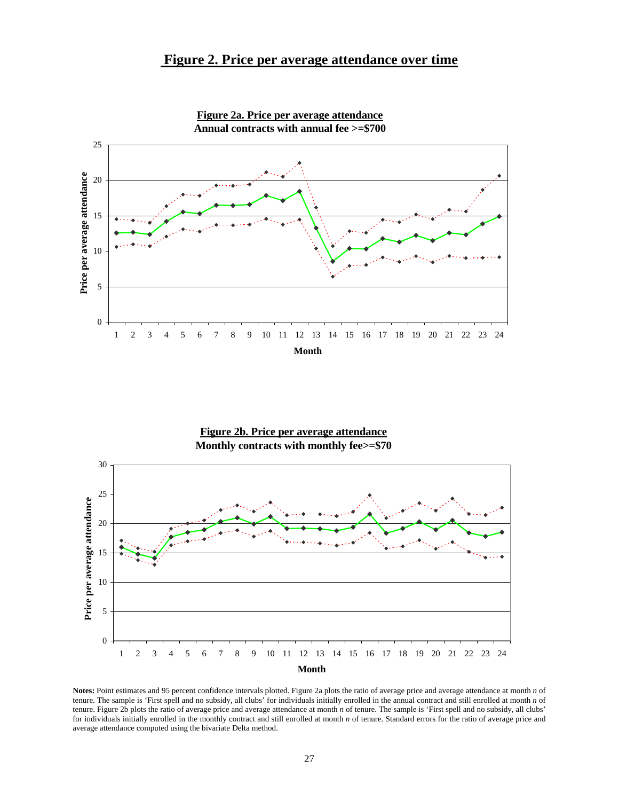## **Figure 2. Price per average attendance over time**



**Figure 2a. Price per average attendance**

### **Figure 2b. Price per average attendance Monthly contracts with monthly fee>=\$70**



**Notes:** Point estimates and 95 percent confidence intervals plotted. Figure 2a plots the ratio of average price and average attendance at month *n* of tenure. The sample is 'First spell and no subsidy, all clubs' for individuals initially enrolled in the annual contract and still enrolled at month *n* of tenure. Figure 2b plots the ratio of average price and average attendance at month *n* of tenure. The sample is 'First spell and no subsidy, all clubs' for individuals initially enrolled in the monthly contract and still enrolled at month *n* of tenure. Standard errors for the ratio of average price and average attendance computed using the bivariate Delta method.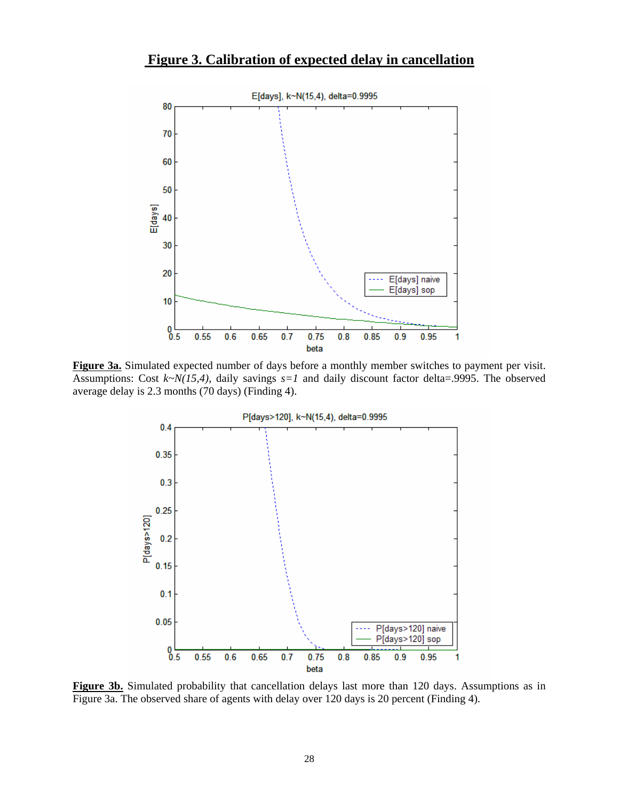## **Figure 3. Calibration of expected delay in cancellation**



**Figure 3a.** Simulated expected number of days before a monthly member switches to payment per visit. Assumptions: Cost *k~N(15,4)*, daily savings *s=1* and daily discount factor delta=.9995. The observed average delay is 2.3 months (70 days) (Finding 4).



**Figure 3b.** Simulated probability that cancellation delays last more than 120 days. Assumptions as in Figure 3a. The observed share of agents with delay over 120 days is 20 percent (Finding 4).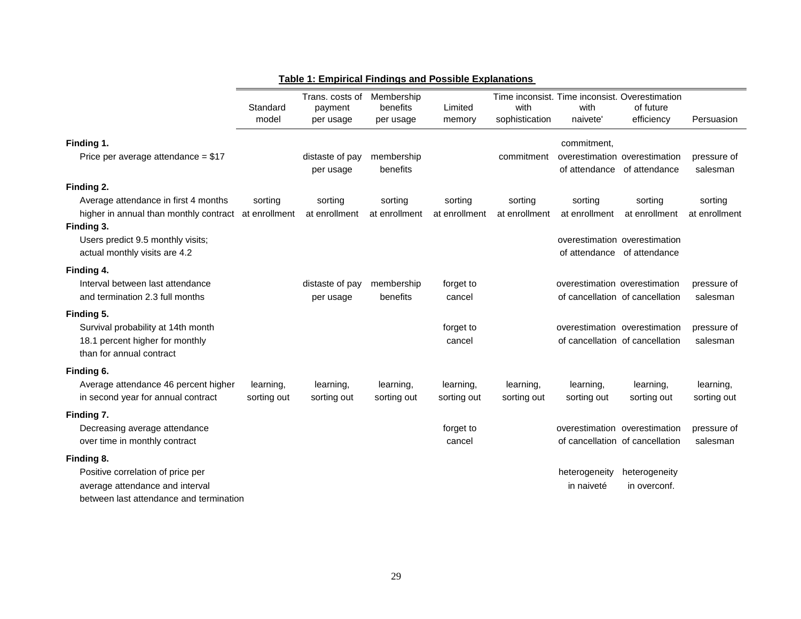|                                                                                                                               | Standard<br>model        | Trans. costs of<br>payment<br>per usage | Membership<br>benefits<br>per usage | Limited<br>memory        | with<br>sophistication   | Time inconsist. Time inconsist. Overestimation<br>with<br>naivete' | of future<br>efficiency                                          | Persuasion               |
|-------------------------------------------------------------------------------------------------------------------------------|--------------------------|-----------------------------------------|-------------------------------------|--------------------------|--------------------------|--------------------------------------------------------------------|------------------------------------------------------------------|--------------------------|
| Finding 1.<br>Price per average attendance = $$17$                                                                            |                          | distaste of pay<br>per usage            | membership<br>benefits              |                          | commitment               | commitment,<br>of attendance                                       | overestimation overestimation<br>of attendance                   | pressure of<br>salesman  |
| Finding 2.                                                                                                                    |                          |                                         |                                     |                          |                          |                                                                    |                                                                  |                          |
| Average attendance in first 4 months<br>higher in annual than monthly contract at enrollment                                  | sorting                  | sorting<br>at enrollment                | sorting<br>at enrollment            | sorting<br>at enrollment | sorting<br>at enrollment | sorting<br>at enrollment                                           | sorting<br>at enrollment                                         | sorting<br>at enrollment |
| Finding 3.<br>Users predict 9.5 monthly visits;<br>actual monthly visits are 4.2                                              |                          |                                         |                                     |                          |                          | of attendance                                                      | overestimation overestimation<br>of attendance                   |                          |
| Finding 4.<br>Interval between last attendance<br>and termination 2.3 full months                                             |                          | distaste of pay<br>per usage            | membership<br>benefits              | forget to<br>cancel      |                          | overestimation overestimation                                      | of cancellation of cancellation                                  | pressure of<br>salesman  |
| Finding 5.<br>Survival probability at 14th month<br>18.1 percent higher for monthly<br>than for annual contract               |                          |                                         |                                     | forget to<br>cancel      |                          |                                                                    | overestimation overestimation<br>of cancellation of cancellation | pressure of<br>salesman  |
| Finding 6.<br>Average attendance 46 percent higher<br>in second year for annual contract                                      | learning,<br>sorting out | learning,<br>sorting out                | learning,<br>sorting out            | learning,<br>sorting out | learning,<br>sorting out | learning,<br>sorting out                                           | learning,<br>sorting out                                         | learning,<br>sorting out |
| Finding 7.<br>Decreasing average attendance<br>over time in monthly contract                                                  |                          |                                         |                                     | forget to<br>cancel      |                          | overestimation overestimation                                      | of cancellation of cancellation                                  | pressure of<br>salesman  |
| Finding 8.<br>Positive correlation of price per<br>average attendance and interval<br>between last attendance and termination |                          |                                         |                                     |                          |                          | heterogeneity<br>in naiveté                                        | heterogeneity<br>in overconf.                                    |                          |

## **Table 1: Empirical Findings and Possible Explanations**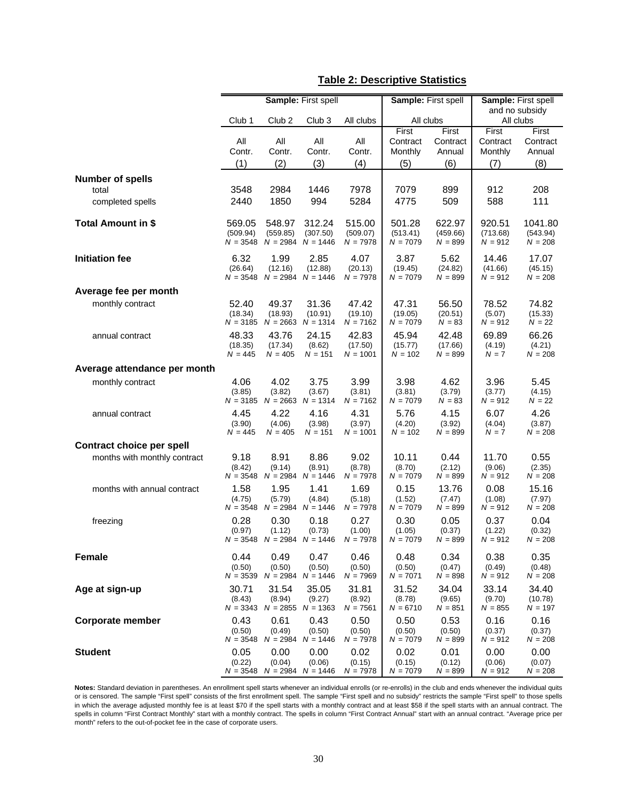|                                  |                                  |                                                    | Sample: First spell                                |                                  | Sample: First spell                 |                                    |                                     | Sample: First spell                |
|----------------------------------|----------------------------------|----------------------------------------------------|----------------------------------------------------|----------------------------------|-------------------------------------|------------------------------------|-------------------------------------|------------------------------------|
|                                  | Club <sub>1</sub>                | Club <sub>2</sub>                                  | Club <sub>3</sub>                                  | All clubs                        | All clubs                           |                                    |                                     | and no subsidy<br>All clubs        |
|                                  | All<br>Contr.<br>(1)             | All<br>Contr.<br>(2)                               | All<br>Contr.<br>(3)                               | All<br>Contr.<br>(4)             | First<br>Contract<br>Monthly<br>(5) | First<br>Contract<br>Annual<br>(6) | First<br>Contract<br>Monthly<br>(7) | First<br>Contract<br>Annual<br>(8) |
| <b>Number of spells</b>          |                                  |                                                    |                                                    |                                  |                                     |                                    |                                     |                                    |
| total<br>completed spells        | 3548<br>2440                     | 2984<br>1850                                       | 1446<br>994                                        | 7978<br>5284                     | 7079<br>4775                        | 899<br>509                         | 912<br>588                          | 208<br>111                         |
| <b>Total Amount in \$</b>        | 569.05<br>(509.94)<br>$N = 3548$ | 548.97<br>(559.85)                                 | 312.24<br>(307.50)<br>$N = 2984$ $N = 1446$        | 515.00<br>(509.07)<br>$N = 7978$ | 501.28<br>(513.41)<br>$N = 7079$    | 622.97<br>(459.66)<br>$N = 899$    | 920.51<br>(713.68)<br>$N = 912$     | 1041.80<br>(543.94)<br>$N = 208$   |
| <b>Initiation fee</b>            | 6.32<br>(26.64)<br>$N = 3548$    | 1.99<br>(12.16)                                    | 2.85<br>(12.88)<br>$N = 2984$ $N = 1446$           | 4.07<br>(20.13)<br>$N = 7978$    | 3.87<br>(19.45)<br>$N = 7079$       | 5.62<br>(24.82)<br>$N = 899$       | 14.46<br>(41.66)<br>$N = 912$       | 17.07<br>(45.15)<br>$N = 208$      |
| Average fee per month            |                                  |                                                    |                                                    |                                  |                                     |                                    |                                     |                                    |
| monthly contract                 | 52.40<br>(18.34)<br>$N = 3185$   | 49.37<br>(18.93)                                   | 31.36<br>(10.91)<br>$N = 2663$ $N = 1314$          | 47.42<br>(19.10)<br>$N = 7162$   | 47.31<br>(19.05)<br>$N = 7079$      | 56.50<br>(20.51)<br>$N = 83$       | 78.52<br>(5.07)<br>$N = 912$        | 74.82<br>(15.33)<br>$N = 22$       |
| annual contract                  | 48.33<br>(18.35)<br>$N = 445$    | 43.76<br>(17.34)<br>$N = 405$                      | 24.15<br>(8.62)<br>$N = 151$                       | 42.83<br>(17.50)<br>$N = 1001$   | 45.94<br>(15.77)<br>$N = 102$       | 42.48<br>(17.66)<br>$N = 899$      | 69.89<br>(4.19)<br>$N = 7$          | 66.26<br>(4.21)<br>$N = 208$       |
| Average attendance per month     |                                  |                                                    |                                                    |                                  |                                     |                                    |                                     |                                    |
| monthly contract                 | 4.06<br>(3.85)                   | 4.02<br>(3.82)                                     | 3.75<br>(3.67)<br>$N = 3185$ $N = 2663$ $N = 1314$ | 3.99<br>(3.81)<br>$N = 7162$     | 3.98<br>(3.81)<br>$N = 7079$        | 4.62<br>(3.79)<br>$N = 83$         | 3.96<br>(3.77)<br>$N = 912$         | 5.45<br>(4.15)<br>$N = 22$         |
| annual contract                  | 4.45<br>(3.90)<br>$N = 445$      | 4.22<br>(4.06)<br>$N = 405$                        | 4.16<br>(3.98)<br>$N = 151$                        | 4.31<br>(3.97)<br>$N = 1001$     | 5.76<br>(4.20)<br>$N = 102$         | 4.15<br>(3.92)<br>$N = 899$        | 6.07<br>(4.04)<br>$N = 7$           | 4.26<br>(3.87)<br>$N = 208$        |
| <b>Contract choice per spell</b> |                                  |                                                    |                                                    |                                  |                                     |                                    |                                     |                                    |
| months with monthly contract     | 9.18<br>(8.42)                   | 8.91<br>(9.14)<br>$N = 3548$ $N = 2984$ $N = 1446$ | 8.86<br>(8.91)                                     | 9.02<br>(8.78)<br>$N = 7978$     | 10.11<br>(8.70)<br>$N = 7079$       | 0.44<br>(2.12)<br>$N = 899$        | 11.70<br>(9.06)<br>$N = 912$        | 0.55<br>(2.35)<br>$N = 208$        |
| months with annual contract      | 1.58<br>(4.75)                   | 1.95<br>(5.79)<br>$N = 3548$ $N = 2984$ $N = 1446$ | 1.41<br>(4.84)                                     | 1.69<br>(5.18)<br>$N = 7978$     | 0.15<br>(1.52)<br>$N = 7079$        | 13.76<br>(7.47)<br>$N = 899$       | 0.08<br>(1.08)<br>$N = 912$         | 15.16<br>(7.97)<br>$N = 208$       |
| freezing                         | 0.28<br>(0.97)                   | 0.30<br>(1.12)<br>$N = 3548$ $N = 2984$ $N = 1446$ | 0.18<br>(0.73)                                     | 0.27<br>(1.00)<br>$N = 7978$     | 0.30<br>(1.05)<br>$N = 7079$        | 0.05<br>(0.37)<br>$N = 899$        | 0.37<br>(1.22)<br>$N = 912$         | 0.04<br>(0.32)<br>$N = 208$        |
| <b>Female</b>                    | 0.44<br>(0.50)<br>$N = 3539$     | 0.49<br>(0.50)                                     | 0.47<br>(0.50)<br>$N = 2984$ $N = 1446$            | 0.46<br>(0.50)<br>$N = 7969$     | 0.48<br>(0.50)<br>$N = 7071$        | 0.34<br>(0.47)<br>$N = 898$        | 0.38<br>(0.49)<br>$N = 912$         | 0.35<br>(0.48)<br>$N = 208$        |
| Age at sign-up                   | 30.71<br>(8.43)<br>$N = 3343$    | 31.54<br>(8.94)                                    | 35.05<br>(9.27)<br>$N = 2855$ $N = 1363$           | 31.81<br>(8.92)<br>$N = 7561$    | 31.52<br>(8.78)<br>$N = 6710$       | 34.04<br>(9.65)<br>$N = 851$       | 33.14<br>(9.70)<br>$N = 855$        | 34.40<br>(10.78)<br>$N = 197$      |
| <b>Corporate member</b>          | 0.43<br>(0.50)<br>$N = 3548$     | 0.61<br>(0.49)<br>$N = 2984$                       | 0.43<br>(0.50)<br>$N = 1446$                       | 0.50<br>(0.50)<br>$N = 7978$     | 0.50<br>(0.50)<br>$N = 7079$        | 0.53<br>(0.50)<br>$N = 899$        | 0.16<br>(0.37)<br>$N = 912$         | 0.16<br>(0.37)<br>$N = 208$        |
| <b>Student</b>                   | 0.05<br>(0.22)                   | 0.00<br>(0.04)<br>$N = 3548$ $N = 2984$ $N = 1446$ | 0.00<br>(0.06)                                     | 0.02<br>(0.15)<br>$N = 7978$     | 0.02<br>(0.15)<br>$N = 7079$        | 0.01<br>(0.12)<br>$N = 899$        | 0.00<br>(0.06)<br>$N = 912$         | 0.00<br>(0.07)<br>$N = 208$        |

### **Table 2: Descriptive Statistics**

**Notes:** Standard deviation in parentheses. An enrollment spell starts whenever an individual enrolls (or re-enrolls) in the club and ends whenever the individual quits or is censored. The sample "First spell" consists of the first enrollment spell. The sample "First spell and no subsidy" restricts the sample "First spell" to those spells in which the average adjusted monthly fee is at least \$70 if the spell starts with a monthly contract and at least \$58 if the spell starts with an annual contract. The spells in column "First Contract Monthly" start with a monthly contract. The spells in column "First Contract Annual" start with an annual contract. "Average price per month" refers to the out-of-pocket fee in the case of corporate users.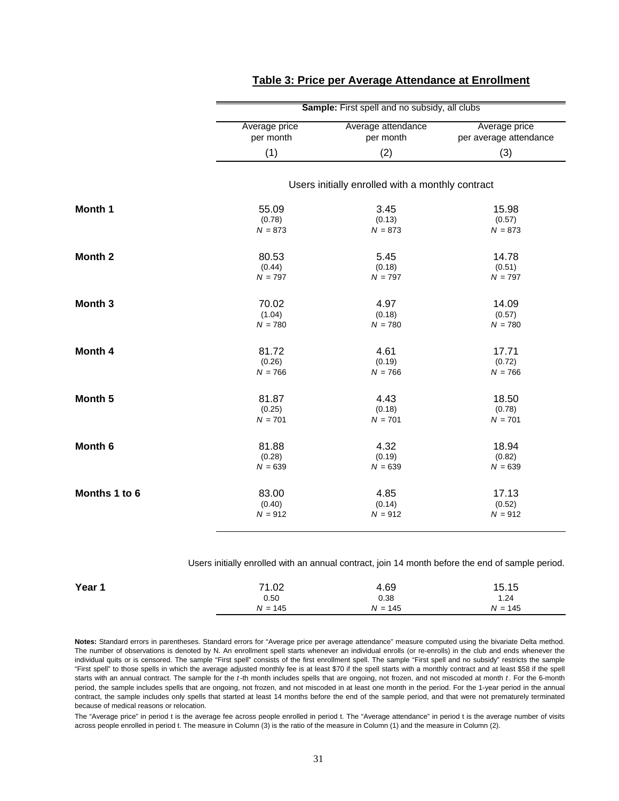|                    |               | Sample: First spell and no subsidy, all clubs    |                        |
|--------------------|---------------|--------------------------------------------------|------------------------|
|                    | Average price | Average attendance                               | Average price          |
|                    | per month     | per month                                        | per average attendance |
|                    | (1)           | (2)                                              | (3)                    |
|                    |               | Users initially enrolled with a monthly contract |                        |
| Month 1            | 55.09         | 3.45                                             | 15.98                  |
|                    | (0.78)        | (0.13)                                           | (0.57)                 |
|                    | $N = 873$     | $N = 873$                                        | $N = 873$              |
| Month <sub>2</sub> | 80.53         | 5.45                                             | 14.78                  |
|                    | (0.44)        | (0.18)                                           | (0.51)                 |
|                    | $N = 797$     | $N = 797$                                        | $N = 797$              |
| Month <sub>3</sub> | 70.02         | 4.97                                             | 14.09                  |
|                    | (1.04)        | (0.18)                                           | (0.57)                 |
|                    | $N = 780$     | $N = 780$                                        | $N = 780$              |
| Month 4            | 81.72         | 4.61                                             | 17.71                  |
|                    | (0.26)        | (0.19)                                           | (0.72)                 |
|                    | $N = 766$     | $N = 766$                                        | $N = 766$              |
| Month <sub>5</sub> | 81.87         | 4.43                                             | 18.50                  |
|                    | (0.25)        | (0.18)                                           | (0.78)                 |
|                    | $N = 701$     | $N = 701$                                        | $N = 701$              |
| Month <sub>6</sub> | 81.88         | 4.32                                             | 18.94                  |
|                    | (0.28)        | (0.19)                                           | (0.82)                 |
|                    | $N = 639$     | $N = 639$                                        | $N = 639$              |
| Months 1 to 6      | 83.00         | 4.85                                             | 17.13                  |
|                    | (0.40)        | (0.14)                                           | (0.52)                 |
|                    | $N = 912$     | $N = 912$                                        | $N = 912$              |

### **Table 3: Price per Average Attendance at Enrollment**

Users initially enrolled with an annual contract, join 14 month before the end of sample period.

| Year 1 | 71.02     | 4.69      | 15.15     |
|--------|-----------|-----------|-----------|
|        | 0.50      | 0.38      | 1.24      |
|        | $N = 145$ | $N = 145$ | $N = 145$ |

**Notes:** Standard errors in parentheses. Standard errors for "Average price per average attendance" measure computed using the bivariate Delta method. The number of observations is denoted by N. An enrollment spell starts whenever an individual enrolls (or re-enrolls) in the club and ends whenever the individual quits or is censored. The sample "First spell" consists of the first enrollment spell. The sample "First spell and no subsidy" restricts the sample "First spell" to those spells in which the average adjusted monthly fee is at least \$70 if the spell starts with a monthly contract and at least \$58 if the spell starts with an annual contract. The sample for the *t* -th month includes spells that are ongoing, not frozen, and not miscoded at month *t* . For the 6-month period, the sample includes spells that are ongoing, not frozen, and not miscoded in at least one month in the period. For the 1-year period in the annual contract, the sample includes only spells that started at least 14 months before the end of the sample period, and that were not prematurely terminated because of medical reasons or relocation.

The "Average price" in period t is the average fee across people enrolled in period t. The "Average attendance" in period t is the average number of visits across people enrolled in period t. The measure in Column (3) is the ratio of the measure in Column (1) and the measure in Column (2).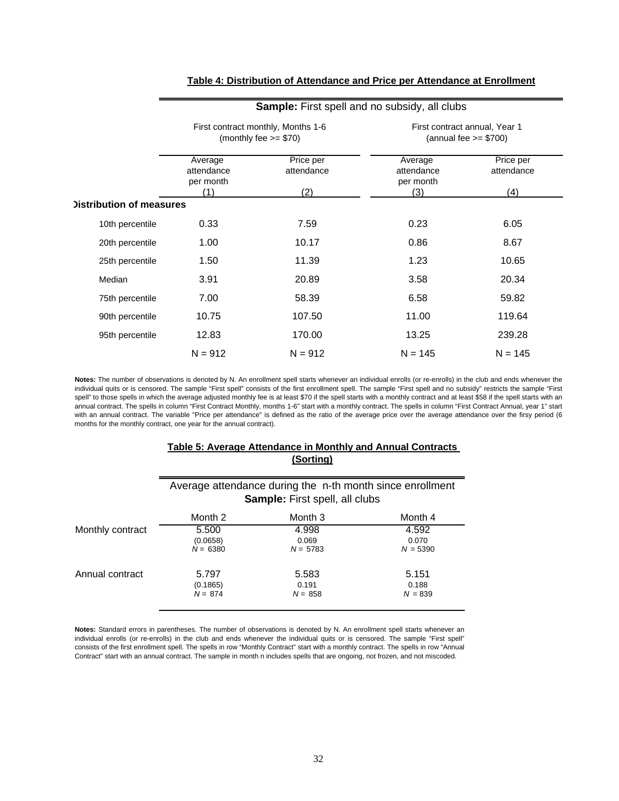|                                 | <b>Sample:</b> First spell and no subsidy, all clubs |                                                               |                                                          |                         |  |  |  |  |
|---------------------------------|------------------------------------------------------|---------------------------------------------------------------|----------------------------------------------------------|-------------------------|--|--|--|--|
|                                 |                                                      | First contract monthly, Months 1-6<br>(monthly fee $>= $70$ ) | First contract annual, Year 1<br>(annual fee $>= $700$ ) |                         |  |  |  |  |
|                                 | Average<br>attendance<br>per month                   | Price per<br>attendance                                       | Average<br>attendance<br>per month                       | Price per<br>attendance |  |  |  |  |
|                                 | (1)                                                  | (2)                                                           | (3)                                                      | (4)                     |  |  |  |  |
| <b>Distribution of measures</b> |                                                      |                                                               |                                                          |                         |  |  |  |  |
| 10th percentile                 | 0.33                                                 | 7.59                                                          | 0.23                                                     | 6.05                    |  |  |  |  |
| 20th percentile                 | 1.00                                                 | 10.17                                                         | 0.86                                                     | 8.67                    |  |  |  |  |
| 25th percentile                 | 1.50                                                 | 11.39                                                         | 1.23                                                     | 10.65                   |  |  |  |  |
| Median                          | 3.91                                                 | 20.89                                                         | 3.58                                                     | 20.34                   |  |  |  |  |
| 75th percentile                 | 7.00                                                 | 58.39                                                         | 6.58                                                     | 59.82                   |  |  |  |  |
| 90th percentile                 | 10.75                                                | 107.50                                                        | 11.00                                                    | 119.64                  |  |  |  |  |
| 95th percentile                 | 12.83                                                | 170.00                                                        | 13.25                                                    | 239.28                  |  |  |  |  |
|                                 | $N = 912$                                            | $N = 912$                                                     | $N = 145$                                                | $N = 145$               |  |  |  |  |

### **Table 4: Distribution of Attendance and Price per Attendance at Enrollment**

Notes: The number of observations is denoted by N. An enrollment spell starts whenever an individual enrolls (or re-enrolls) in the club and ends whenever the individual quits or is censored. The sample "First spell" consists of the first enrollment spell. The sample "First spell and no subsidy" restricts the sample "First spell" to those spells in which the average adjusted monthly fee is at least \$70 if the spell starts with a monthly contract and at least \$58 if the spell starts with an annual contract. The spells in column "First Contract Monthly, months 1-6" start with a monthly contract. The spells in column "First Contract Annual, year 1" start with an annual contract. The variable "Price per attendance" is defined as the ratio of the average price over the average attendance over the firsy period (6 months for the monthly contract, one year for the annual contract).

### **Table 5: Average Attendance in Monthly and Annual Contracts (Sorting)**

|                  | Average attendance during the n-th month since enrollment<br><b>Sample:</b> First spell, all clubs |                              |                              |  |  |  |  |  |
|------------------|----------------------------------------------------------------------------------------------------|------------------------------|------------------------------|--|--|--|--|--|
|                  | Month 2                                                                                            | Month 3                      | Month 4                      |  |  |  |  |  |
| Monthly contract | 5.500<br>(0.0658)<br>$N = 6380$                                                                    | 4.998<br>0.069<br>$N = 5783$ | 4.592<br>0.070<br>$N = 5390$ |  |  |  |  |  |
| Annual contract  | 5.797<br>(0.1865)<br>$N = 874$                                                                     | 5.583<br>0.191<br>$N = 858$  | 5.151<br>0.188<br>$N = 839$  |  |  |  |  |  |

**Notes:** Standard errors in parentheses. The number of observations is denoted by N. An enrollment spell starts whenever an individual enrolls (or re-enrolls) in the club and ends whenever the individual quits or is censored. The sample "First spell" consists of the first enrollment spell. The spells in row "Monthly Contract" start with a monthly contract. The spells in row "Annual Contract" start with an annual contract. The sample in month n includes spells that are ongoing, not frozen, and not miscoded.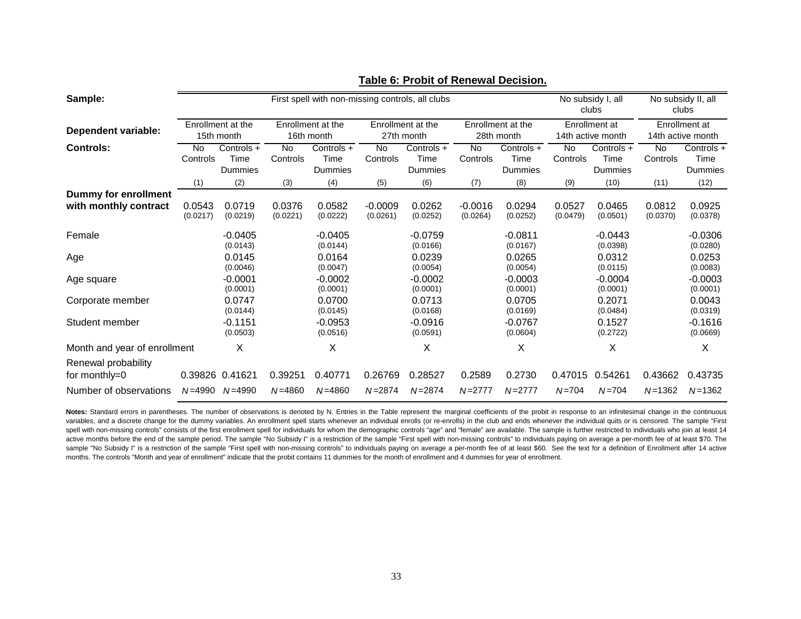| Sample:                                              | First spell with non-missing controls, all clubs |                                 |                       |                                 |                       |                                 |                       |                                 | No subsidy I, all<br>clubs |                                    | No subsidy II, all<br>clubs |                                    |
|------------------------------------------------------|--------------------------------------------------|---------------------------------|-----------------------|---------------------------------|-----------------------|---------------------------------|-----------------------|---------------------------------|----------------------------|------------------------------------|-----------------------------|------------------------------------|
| Dependent variable:                                  |                                                  | Enrollment at the<br>15th month |                       | Enrollment at the<br>16th month |                       | Enrollment at the<br>27th month |                       | Enrollment at the<br>28th month |                            | Enrollment at<br>14th active month |                             | Enrollment at<br>14th active month |
| <b>Controls:</b>                                     | No.<br>Controls                                  | Controls +<br>Time<br>Dummies   | <b>No</b><br>Controls | Controls +<br>Time<br>Dummies   | <b>No</b><br>Controls | Controls +<br>Time<br>Dummies   | <b>No</b><br>Controls | Controls +<br>Time<br>Dummies   | <b>No</b><br>Controls      | Controls +<br>Time<br>Dummies      | No<br>Controls              | Controls +<br>Time<br>Dummies      |
|                                                      | (1)                                              | (2)                             | (3)                   | (4)                             | (5)                   | (6)                             | (7)                   | (8)                             | (9)                        | (10)                               | (11)                        | (12)                               |
| <b>Dummy for enrollment</b><br>with monthly contract | 0.0543<br>(0.0217)                               | 0.0719<br>(0.0219)              | 0.0376<br>(0.0221)    | 0.0582<br>(0.0222)              | $-0.0009$<br>(0.0261) | 0.0262<br>(0.0252)              | $-0.0016$<br>(0.0264) | 0.0294<br>(0.0252)              | 0.0527<br>(0.0479)         | 0.0465<br>(0.0501)                 | 0.0812<br>(0.0370)          | 0.0925<br>(0.0378)                 |
| Female                                               |                                                  | $-0.0405$<br>(0.0143)           |                       | $-0.0405$<br>(0.0144)           |                       | $-0.0759$<br>(0.0166)           |                       | $-0.0811$<br>(0.0167)           |                            | $-0.0443$<br>(0.0398)              |                             | $-0.0306$<br>(0.0280)              |
| Age                                                  |                                                  | 0.0145<br>(0.0046)              |                       | 0.0164<br>(0.0047)              |                       | 0.0239<br>(0.0054)              |                       | 0.0265<br>(0.0054)              |                            | 0.0312<br>(0.0115)                 |                             | 0.0253<br>(0.0083)                 |
| Age square                                           |                                                  | $-0.0001$<br>(0.0001)           |                       | $-0.0002$<br>(0.0001)           |                       | $-0.0002$<br>(0.0001)           |                       | $-0.0003$<br>(0.0001)           |                            | $-0.0004$<br>(0.0001)              |                             | $-0.0003$<br>(0.0001)              |
| Corporate member                                     |                                                  | 0.0747<br>(0.0144)              |                       | 0.0700<br>(0.0145)              |                       | 0.0713<br>(0.0168)              |                       | 0.0705<br>(0.0169)              |                            | 0.2071<br>(0.0484)                 |                             | 0.0043<br>(0.0319)                 |
| Student member                                       |                                                  | $-0.1151$<br>(0.0503)           |                       | $-0.0953$<br>(0.0516)           |                       | $-0.0916$<br>(0.0591)           |                       | $-0.0767$<br>(0.0604)           |                            | 0.1527<br>(0.2722)                 |                             | $-0.1616$<br>(0.0669)              |
| Month and year of enrollment                         |                                                  | X                               |                       | Χ                               |                       | X                               |                       | Χ                               |                            | X                                  |                             | X                                  |
| Renewal probability                                  |                                                  |                                 |                       |                                 |                       |                                 |                       |                                 |                            |                                    |                             |                                    |
| for monthly=0                                        |                                                  | 0.39826 0.41621                 | 0.39251               | 0.40771                         | 0.26769               | 0.28527                         | 0.2589                | 0.2730                          | 0.47015                    | 0.54261                            | 0.43662                     | 0.43735                            |
| Number of observations                               | N=4990                                           | $N = 4990$                      | $N = 4860$            | $N = 4860$                      | $N = 2874$            | $N = 2874$                      | $N = 2777$            | $N = 2777$                      | $N = 704$                  | $N = 704$                          | $N = 1362$                  | $N = 1362$                         |

### **Table 6: Probit of Renewal Decision.**

Notes: Standard errors in parentheses. The number of observations is denoted by N. Entries in the Table represent the marginal coefficients of the probit in response to an infinitesimal change in the continuous variables, and a discrete change for the dummy variables. An enrollment spell starts whenever an individual enrolls (or re-enrolls) in the club and ends whenever the individual quits or is censored. The sample "First spell with non-missing controls" consists of the first enrollment spell for individuals for whom the demographic controls "age" and "female" are available. The sample is further restricted to individuals who join at least active months before the end of the sample period. The sample "No Subsidy I" is a restriction of the sample "First spell with non-missing controls" to individuals paying on average a per-month fee of at least \$70. The sample "No Subsidy I" is a restriction of the sample "First spell with non-missing controls" to individuals paying on average a per-month fee of at least \$60. See the text for a definition of Enrollment after 14 active months. The controls "Month and year of enrollment" indicate that the probit contains 11 dummies for the month of enrollment and 4 dummies for year of enrollment.